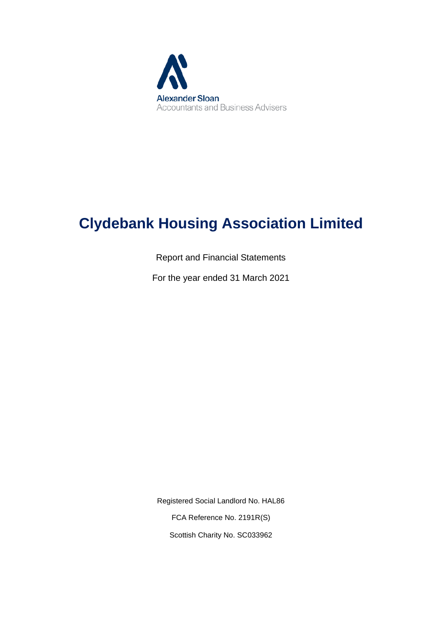

# **Clydebank Housing Association Limited**

Report and Financial Statements

For the year ended 31 March 2021

Registered Social Landlord No. HAL86 FCA Reference No. 2191R(S) Scottish Charity No. SC033962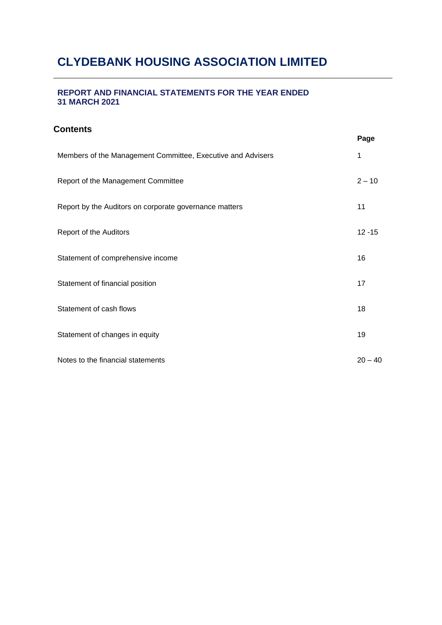## **REPORT AND FINANCIAL STATEMENTS FOR THE YEAR ENDED 31 MARCH 2021**

## **Contents**

|                                                             | Page      |
|-------------------------------------------------------------|-----------|
| Members of the Management Committee, Executive and Advisers | 1         |
| Report of the Management Committee                          | $2 - 10$  |
| Report by the Auditors on corporate governance matters      | 11        |
| Report of the Auditors                                      | $12 - 15$ |
| Statement of comprehensive income                           | 16        |
| Statement of financial position                             | 17        |
| Statement of cash flows                                     | 18        |
| Statement of changes in equity                              | 19        |
| Notes to the financial statements                           | $20 - 40$ |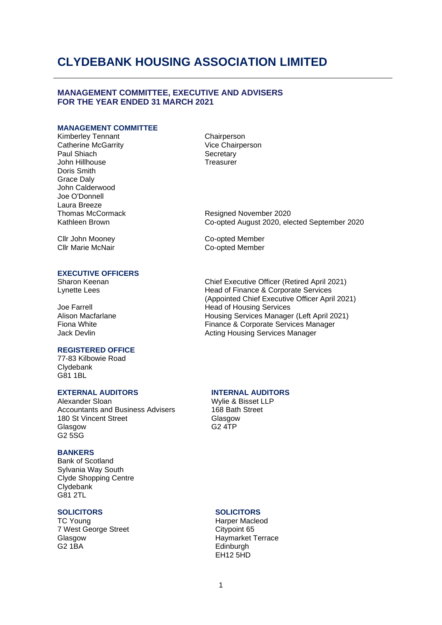### **MANAGEMENT COMMITTEE, EXECUTIVE AND ADVISERS FOR THE YEAR ENDED 31 MARCH 2021**

### **MANAGEMENT COMMITTEE**

Kimberley Tennant Catherine McGarrity Paul Shiach John Hillhouse Doris Smith Grace Daly John Calderwood Joe O'Donnell Laura Breeze Thomas McCormack Kathleen Brown

**Chairperson** Vice Chairperson **Secretary Treasurer** 

Co-opted Member Co-opted Member

Resigned November 2020 Co-opted August 2020, elected September 2020

Cllr John Mooney Cllr Marie McNair

#### **EXECUTIVE OFFICERS**

Sharon Keenan Lynette Lees

Joe Farrell Alison Macfarlane Fiona White Jack Devlin

#### **REGISTERED OFFICE**

77-83 Kilbowie Road Clydebank G81 1BL

### **EXTERNAL AUDITORS INTERNAL AUDITORS**

Alexander Sloan Accountants and Business Advisers 180 St Vincent Street Glasgow G2 5SG

### **BANKERS**

Bank of Scotland Sylvania Way South Clyde Shopping Centre Clydebank G81 2TL

### **SOLICITORS**

TC Young 7 West George Street Glasgow G2 1BA

Chief Executive Officer (Retired April 2021) Head of Finance & Corporate Services (Appointed Chief Executive Officer April 2021) Head of Housing Services Housing Services Manager (Left April 2021) Finance & Corporate Services Manager Acting Housing Services Manager

Wylie & Bisset LLP 168 Bath Street Glasgow G2 4TP

### **SOLICITORS**

Harper Macleod Citypoint 65 Haymarket Terrace **Edinburgh** EH12 5HD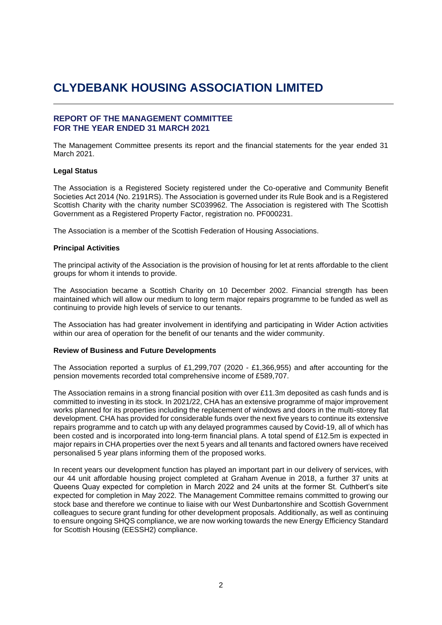### **REPORT OF THE MANAGEMENT COMMITTEE FOR THE YEAR ENDED 31 MARCH 2021**

The Management Committee presents its report and the financial statements for the year ended 31 March 2021.

#### **Legal Status**

The Association is a Registered Society registered under the Co-operative and Community Benefit Societies Act 2014 (No. 2191RS). The Association is governed under its Rule Book and is a Registered Scottish Charity with the charity number SC039962. The Association is registered with The Scottish Government as a Registered Property Factor, registration no. PF000231.

The Association is a member of the Scottish Federation of Housing Associations.

#### **Principal Activities**

The principal activity of the Association is the provision of housing for let at rents affordable to the client groups for whom it intends to provide.

The Association became a Scottish Charity on 10 December 2002. Financial strength has been maintained which will allow our medium to long term major repairs programme to be funded as well as continuing to provide high levels of service to our tenants.

The Association has had greater involvement in identifying and participating in Wider Action activities within our area of operation for the benefit of our tenants and the wider community.

#### **Review of Business and Future Developments**

The Association reported a surplus of £1,299,707 (2020 - £1,366,955) and after accounting for the pension movements recorded total comprehensive income of £589,707.

The Association remains in a strong financial position with over £11.3m deposited as cash funds and is committed to investing in its stock. In 2021/22, CHA has an extensive programme of major improvement works planned for its properties including the replacement of windows and doors in the multi-storey flat development. CHA has provided for considerable funds over the next five years to continue its extensive repairs programme and to catch up with any delayed programmes caused by Covid-19, all of which has been costed and is incorporated into long-term financial plans. A total spend of £12.5m is expected in major repairs in CHA properties over the next 5 years and all tenants and factored owners have received personalised 5 year plans informing them of the proposed works.

In recent years our development function has played an important part in our delivery of services, with our 44 unit affordable housing project completed at Graham Avenue in 2018, a further 37 units at Queens Quay expected for completion in March 2022 and 24 units at the former St. Cuthbert's site expected for completion in May 2022. The Management Committee remains committed to growing our stock base and therefore we continue to liaise with our West Dunbartonshire and Scottish Government colleagues to secure grant funding for other development proposals. Additionally, as well as continuing to ensure ongoing SHQS compliance, we are now working towards the new Energy Efficiency Standard for Scottish Housing (EESSH2) compliance.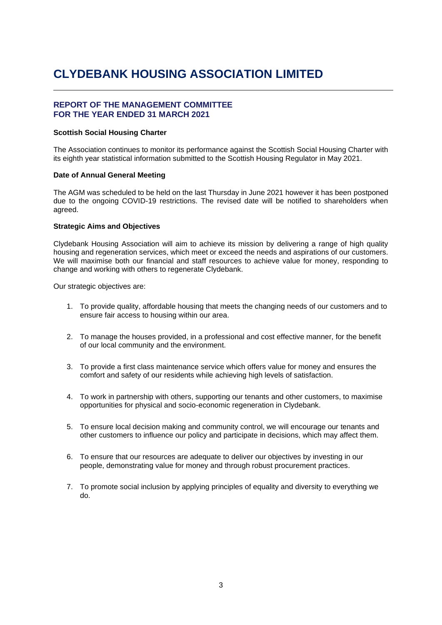### **REPORT OF THE MANAGEMENT COMMITTEE FOR THE YEAR ENDED 31 MARCH 2021**

#### **Scottish Social Housing Charter**

The Association continues to monitor its performance against the Scottish Social Housing Charter with its eighth year statistical information submitted to the Scottish Housing Regulator in May 2021.

### **Date of Annual General Meeting**

The AGM was scheduled to be held on the last Thursday in June 2021 however it has been postponed due to the ongoing COVID-19 restrictions. The revised date will be notified to shareholders when agreed.

### **Strategic Aims and Objectives**

Clydebank Housing Association will aim to achieve its mission by delivering a range of high quality housing and regeneration services, which meet or exceed the needs and aspirations of our customers. We will maximise both our financial and staff resources to achieve value for money, responding to change and working with others to regenerate Clydebank.

Our strategic objectives are:

- 1. To provide quality, affordable housing that meets the changing needs of our customers and to ensure fair access to housing within our area.
- 2. To manage the houses provided, in a professional and cost effective manner, for the benefit of our local community and the environment.
- 3. To provide a first class maintenance service which offers value for money and ensures the comfort and safety of our residents while achieving high levels of satisfaction.
- 4. To work in partnership with others, supporting our tenants and other customers, to maximise opportunities for physical and socio-economic regeneration in Clydebank.
- 5. To ensure local decision making and community control, we will encourage our tenants and other customers to influence our policy and participate in decisions, which may affect them.
- 6. To ensure that our resources are adequate to deliver our objectives by investing in our people, demonstrating value for money and through robust procurement practices.
- 7. To promote social inclusion by applying principles of equality and diversity to everything we do.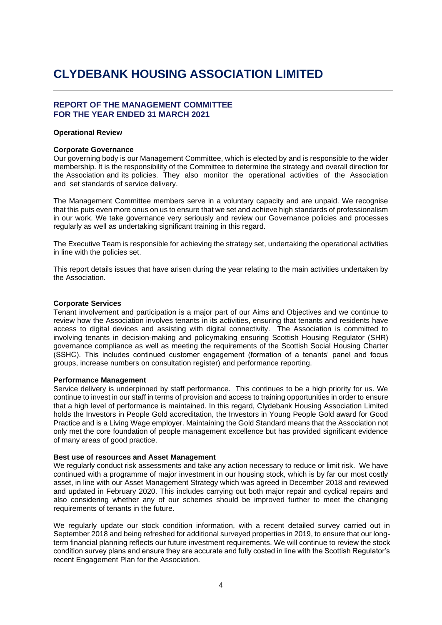### **REPORT OF THE MANAGEMENT COMMITTEE FOR THE YEAR ENDED 31 MARCH 2021**

#### **Operational Review**

#### **Corporate Governance**

Our governing body is our Management Committee, which is elected by and is responsible to the wider membership. It is the responsibility of the Committee to determine the strategy and overall direction for the Association and its policies. They also monitor the operational activities of the Association and set standards of service delivery.

The Management Committee members serve in a voluntary capacity and are unpaid. We recognise that this puts even more onus on us to ensure that we set and achieve high standards of professionalism in our work. We take governance very seriously and review our Governance policies and processes regularly as well as undertaking significant training in this regard.

The Executive Team is responsible for achieving the strategy set, undertaking the operational activities in line with the policies set.

This report details issues that have arisen during the year relating to the main activities undertaken by the Association.

#### **Corporate Services**

Tenant involvement and participation is a major part of our Aims and Objectives and we continue to review how the Association involves tenants in its activities, ensuring that tenants and residents have access to digital devices and assisting with digital connectivity. The Association is committed to involving tenants in decision-making and policymaking ensuring Scottish Housing Regulator (SHR) governance compliance as well as meeting the requirements of the Scottish Social Housing Charter (SSHC). This includes continued customer engagement (formation of a tenants' panel and focus groups, increase numbers on consultation register) and performance reporting.

#### **Performance Management**

Service delivery is underpinned by staff performance. This continues to be a high priority for us. We continue to invest in our staff in terms of provision and access to training opportunities in order to ensure that a high level of performance is maintained. In this regard, Clydebank Housing Association Limited holds the Investors in People Gold accreditation, the Investors in Young People Gold award for Good Practice and is a Living Wage employer. Maintaining the Gold Standard means that the Association not only met the core foundation of people management excellence but has provided significant evidence of many areas of good practice.

### **Best use of resources and Asset Management**

We regularly conduct risk assessments and take any action necessary to reduce or limit risk. We have continued with a programme of major investment in our housing stock, which is by far our most costly asset, in line with our Asset Management Strategy which was agreed in December 2018 and reviewed and updated in February 2020. This includes carrying out both major repair and cyclical repairs and also considering whether any of our schemes should be improved further to meet the changing requirements of tenants in the future.

We regularly update our stock condition information, with a recent detailed survey carried out in September 2018 and being refreshed for additional surveyed properties in 2019, to ensure that our longterm financial planning reflects our future investment requirements. We will continue to review the stock condition survey plans and ensure they are accurate and fully costed in line with the Scottish Regulator's recent Engagement Plan for the Association.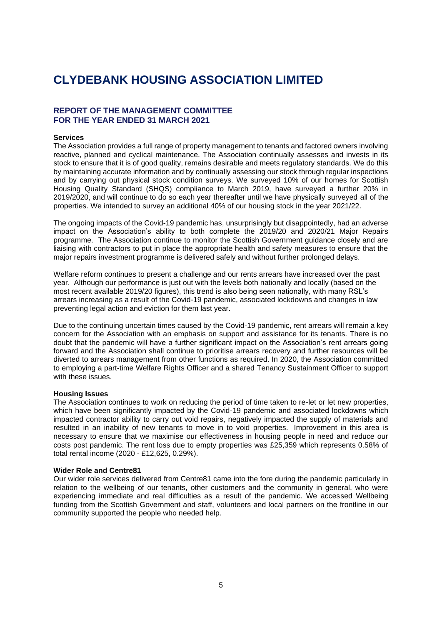### **REPORT OF THE MANAGEMENT COMMITTEE FOR THE YEAR ENDED 31 MARCH 2021**

#### **Services**

The Association provides a full range of property management to tenants and factored owners involving reactive, planned and cyclical maintenance. The Association continually assesses and invests in its stock to ensure that it is of good quality, remains desirable and meets regulatory standards. We do this by maintaining accurate information and by continually assessing our stock through regular inspections and by carrying out physical stock condition surveys. We surveyed 10% of our homes for Scottish Housing Quality Standard (SHQS) compliance to March 2019, have surveyed a further 20% in 2019/2020, and will continue to do so each year thereafter until we have physically surveyed all of the properties. We intended to survey an additional 40% of our housing stock in the year 2021/22.

The ongoing impacts of the Covid-19 pandemic has, unsurprisingly but disappointedly, had an adverse impact on the Association's ability to both complete the 2019/20 and 2020/21 Major Repairs programme. The Association continue to monitor the Scottish Government guidance closely and are liaising with contractors to put in place the appropriate health and safety measures to ensure that the major repairs investment programme is delivered safely and without further prolonged delays.

Welfare reform continues to present a challenge and our rents arrears have increased over the past year. Although our performance is just out with the levels both nationally and locally (based on the most recent available 2019/20 figures), this trend is also being seen nationally, with many RSL's arrears increasing as a result of the Covid-19 pandemic, associated lockdowns and changes in law preventing legal action and eviction for them last year.

Due to the continuing uncertain times caused by the Covid-19 pandemic, rent arrears will remain a key concern for the Association with an emphasis on support and assistance for its tenants. There is no doubt that the pandemic will have a further significant impact on the Association's rent arrears going forward and the Association shall continue to prioritise arrears recovery and further resources will be diverted to arrears management from other functions as required. In 2020, the Association committed to employing a part-time Welfare Rights Officer and a shared Tenancy Sustainment Officer to support with these issues.

#### **Housing Issues**

The Association continues to work on reducing the period of time taken to re-let or let new properties, which have been significantly impacted by the Covid-19 pandemic and associated lockdowns which impacted contractor ability to carry out void repairs, negatively impacted the supply of materials and resulted in an inability of new tenants to move in to void properties. Improvement in this area is necessary to ensure that we maximise our effectiveness in housing people in need and reduce our costs post pandemic. The rent loss due to empty properties was £25,359 which represents 0.58% of total rental income (2020 - £12,625, 0.29%).

#### **Wider Role and Centre81**

Our wider role services delivered from Centre81 came into the fore during the pandemic particularly in relation to the wellbeing of our tenants, other customers and the community in general, who were experiencing immediate and real difficulties as a result of the pandemic. We accessed Wellbeing funding from the Scottish Government and staff, volunteers and local partners on the frontline in our community supported the people who needed help.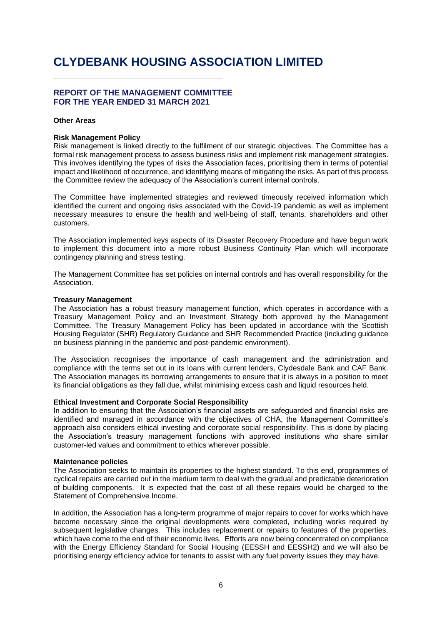## **REPORT OF THE MANAGEMENT COMMITTEE FOR THE YEAR ENDED 31 MARCH 2021**

#### **Other Areas**

#### **Risk Management Policy**

Risk management is linked directly to the fulfilment of our strategic objectives. The Committee has a formal risk management process to assess business risks and implement risk management strategies. This involves identifying the types of risks the Association faces, prioritising them in terms of potential impact and likelihood of occurrence, and identifying means of mitigating the risks. As part of this process the Committee review the adequacy of the Association's current internal controls.

The Committee have implemented strategies and reviewed timeously received information which identified the current and ongoing risks associated with the Covid-19 pandemic as well as implement necessary measures to ensure the health and well-being of staff, tenants, shareholders and other customers.

The Association implemented keys aspects of its Disaster Recovery Procedure and have begun work to implement this document into a more robust Business Continuity Plan which will incorporate contingency planning and stress testing.

The Management Committee has set policies on internal controls and has overall responsibility for the Association.

#### **Treasury Management**

The Association has a robust treasury management function, which operates in accordance with a Treasury Management Policy and an Investment Strategy both approved by the Management Committee. The Treasury Management Policy has been updated in accordance with the Scottish Housing Regulator (SHR) Regulatory Guidance and SHR Recommended Practice (including guidance on business planning in the pandemic and post-pandemic environment).

The Association recognises the importance of cash management and the administration and compliance with the terms set out in its loans with current lenders, Clydesdale Bank and CAF Bank. The Association manages its borrowing arrangements to ensure that it is always in a position to meet its financial obligations as they fall due, whilst minimising excess cash and liquid resources held.

#### **Ethical Investment and Corporate Social Responsibility**

In addition to ensuring that the Association's financial assets are safeguarded and financial risks are identified and managed in accordance with the objectives of CHA, the Management Committee's approach also considers ethical investing and corporate social responsibility. This is done by placing the Association's treasury management functions with approved institutions who share similar customer-led values and commitment to ethics wherever possible.

#### **Maintenance policies**

The Association seeks to maintain its properties to the highest standard. To this end, programmes of cyclical repairs are carried out in the medium term to deal with the gradual and predictable deterioration of building components. It is expected that the cost of all these repairs would be charged to the Statement of Comprehensive Income.

In addition, the Association has a long-term programme of major repairs to cover for works which have become necessary since the original developments were completed, including works required by subsequent legislative changes. This includes replacement or repairs to features of the properties, which have come to the end of their economic lives. Efforts are now being concentrated on compliance with the Energy Efficiency Standard for Social Housing (EESSH and EESSH2) and we will also be prioritising energy efficiency advice for tenants to assist with any fuel poverty issues they may have.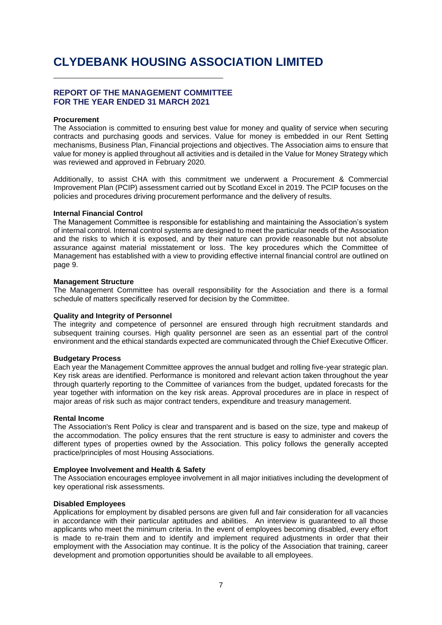### **REPORT OF THE MANAGEMENT COMMITTEE FOR THE YEAR ENDED 31 MARCH 2021**

#### **Procurement**

The Association is committed to ensuring best value for money and quality of service when securing contracts and purchasing goods and services. Value for money is embedded in our Rent Setting mechanisms, Business Plan, Financial projections and objectives. The Association aims to ensure that value for money is applied throughout all activities and is detailed in the Value for Money Strategy which was reviewed and approved in February 2020.

Additionally, to assist CHA with this commitment we underwent a Procurement & Commercial Improvement Plan (PCIP) assessment carried out by Scotland Excel in 2019. The PCIP focuses on the policies and procedures driving procurement performance and the delivery of results.

#### **Internal Financial Control**

The Management Committee is responsible for establishing and maintaining the Association's system of internal control. Internal control systems are designed to meet the particular needs of the Association and the risks to which it is exposed, and by their nature can provide reasonable but not absolute assurance against material misstatement or loss. The key procedures which the Committee of Management has established with a view to providing effective internal financial control are outlined on page 9.

### **Management Structure**

The Management Committee has overall responsibility for the Association and there is a formal schedule of matters specifically reserved for decision by the Committee.

#### **Quality and Integrity of Personnel**

The integrity and competence of personnel are ensured through high recruitment standards and subsequent training courses. High quality personnel are seen as an essential part of the control environment and the ethical standards expected are communicated through the Chief Executive Officer.

#### **Budgetary Process**

Each year the Management Committee approves the annual budget and rolling five-year strategic plan. Key risk areas are identified. Performance is monitored and relevant action taken throughout the year through quarterly reporting to the Committee of variances from the budget, updated forecasts for the year together with information on the key risk areas. Approval procedures are in place in respect of major areas of risk such as major contract tenders, expenditure and treasury management.

#### **Rental Income**

The Association's Rent Policy is clear and transparent and is based on the size, type and makeup of the accommodation. The policy ensures that the rent structure is easy to administer and covers the different types of properties owned by the Association. This policy follows the generally accepted practice/principles of most Housing Associations.

#### **Employee Involvement and Health & Safety**

The Association encourages employee involvement in all major initiatives including the development of key operational risk assessments.

#### **Disabled Employees**

Applications for employment by disabled persons are given full and fair consideration for all vacancies in accordance with their particular aptitudes and abilities. An interview is guaranteed to all those applicants who meet the minimum criteria. In the event of employees becoming disabled, every effort is made to re-train them and to identify and implement required adjustments in order that their employment with the Association may continue. It is the policy of the Association that training, career development and promotion opportunities should be available to all employees.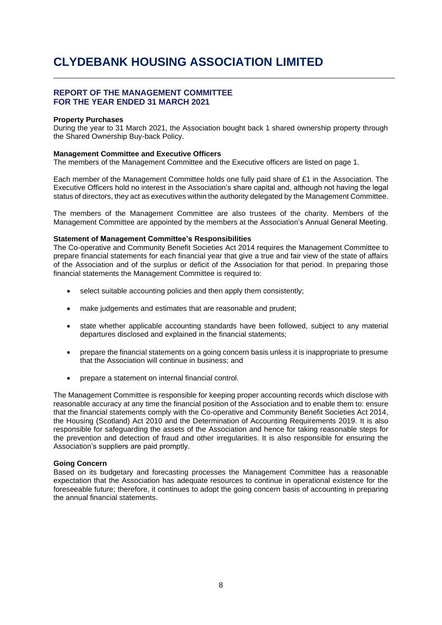### **REPORT OF THE MANAGEMENT COMMITTEE FOR THE YEAR ENDED 31 MARCH 2021**

#### **Property Purchases**

During the year to 31 March 2021, the Association bought back 1 shared ownership property through the Shared Ownership Buy-back Policy.

#### **Management Committee and Executive Officers**

The members of the Management Committee and the Executive officers are listed on page 1.

Each member of the Management Committee holds one fully paid share of £1 in the Association. The Executive Officers hold no interest in the Association's share capital and, although not having the legal status of directors, they act as executives within the authority delegated by the Management Committee.

The members of the Management Committee are also trustees of the charity. Members of the Management Committee are appointed by the members at the Association's Annual General Meeting.

#### **Statement of Management Committee's Responsibilities**

The Co-operative and Community Benefit Societies Act 2014 requires the Management Committee to prepare financial statements for each financial year that give a true and fair view of the state of affairs of the Association and of the surplus or deficit of the Association for that period. In preparing those financial statements the Management Committee is required to:

- select suitable accounting policies and then apply them consistently;
- make judgements and estimates that are reasonable and prudent;
- state whether applicable accounting standards have been followed, subject to any material departures disclosed and explained in the financial statements;
- prepare the financial statements on a going concern basis unless it is inappropriate to presume that the Association will continue in business; and
- prepare a statement on internal financial control.

The Management Committee is responsible for keeping proper accounting records which disclose with reasonable accuracy at any time the financial position of the Association and to enable them to: ensure that the financial statements comply with the Co-operative and Community Benefit Societies Act 2014, the Housing (Scotland) Act 2010 and the Determination of Accounting Requirements 2019. It is also responsible for safeguarding the assets of the Association and hence for taking reasonable steps for the prevention and detection of fraud and other irregularities. It is also responsible for ensuring the Association's suppliers are paid promptly.

#### **Going Concern**

Based on its budgetary and forecasting processes the Management Committee has a reasonable expectation that the Association has adequate resources to continue in operational existence for the foreseeable future; therefore, it continues to adopt the going concern basis of accounting in preparing the annual financial statements.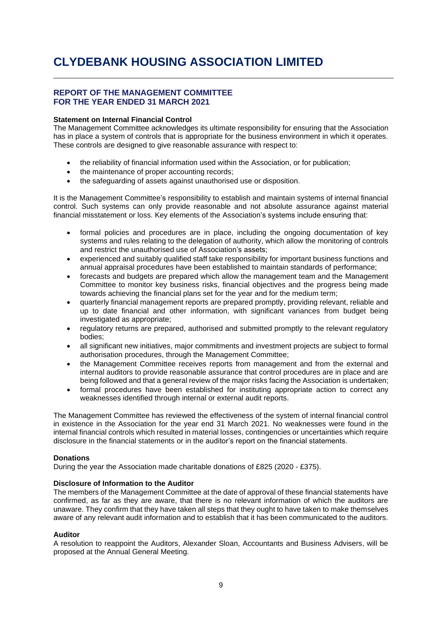### **REPORT OF THE MANAGEMENT COMMITTEE FOR THE YEAR ENDED 31 MARCH 2021**

### **Statement on Internal Financial Control**

The Management Committee acknowledges its ultimate responsibility for ensuring that the Association has in place a system of controls that is appropriate for the business environment in which it operates. These controls are designed to give reasonable assurance with respect to:

- the reliability of financial information used within the Association, or for publication;
- the maintenance of proper accounting records;
- the safeguarding of assets against unauthorised use or disposition.

It is the Management Committee's responsibility to establish and maintain systems of internal financial control. Such systems can only provide reasonable and not absolute assurance against material financial misstatement or loss. Key elements of the Association's systems include ensuring that:

- formal policies and procedures are in place, including the ongoing documentation of key systems and rules relating to the delegation of authority, which allow the monitoring of controls and restrict the unauthorised use of Association's assets;
- experienced and suitably qualified staff take responsibility for important business functions and annual appraisal procedures have been established to maintain standards of performance;
- forecasts and budgets are prepared which allow the management team and the Management Committee to monitor key business risks, financial objectives and the progress being made towards achieving the financial plans set for the year and for the medium term;
- quarterly financial management reports are prepared promptly, providing relevant, reliable and up to date financial and other information, with significant variances from budget being investigated as appropriate;
- regulatory returns are prepared, authorised and submitted promptly to the relevant regulatory bodies;
- all significant new initiatives, major commitments and investment projects are subject to formal authorisation procedures, through the Management Committee;
- the Management Committee receives reports from management and from the external and internal auditors to provide reasonable assurance that control procedures are in place and are being followed and that a general review of the major risks facing the Association is undertaken;
- formal procedures have been established for instituting appropriate action to correct any weaknesses identified through internal or external audit reports.

The Management Committee has reviewed the effectiveness of the system of internal financial control in existence in the Association for the year end 31 March 2021. No weaknesses were found in the internal financial controls which resulted in material losses, contingencies or uncertainties which require disclosure in the financial statements or in the auditor's report on the financial statements.

#### **Donations**

During the year the Association made charitable donations of £825 (2020 - £375).

### **Disclosure of Information to the Auditor**

The members of the Management Committee at the date of approval of these financial statements have confirmed, as far as they are aware, that there is no relevant information of which the auditors are unaware. They confirm that they have taken all steps that they ought to have taken to make themselves aware of any relevant audit information and to establish that it has been communicated to the auditors.

#### **Auditor**

A resolution to reappoint the Auditors, Alexander Sloan, Accountants and Business Advisers, will be proposed at the Annual General Meeting.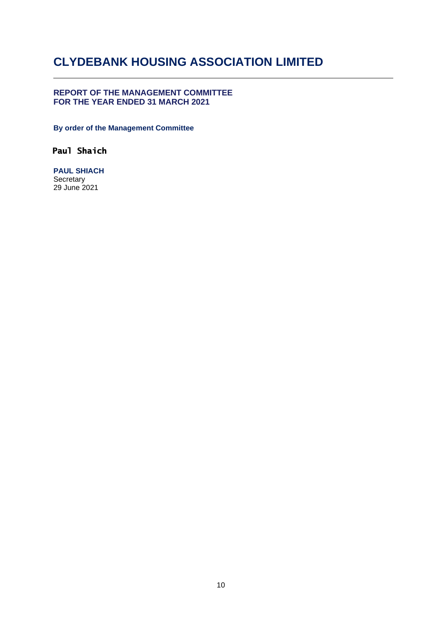## **REPORT OF THE MANAGEMENT COMMITTEE FOR THE YEAR ENDED 31 MARCH 2021**

**By order of the Management Committee**

## **Paul Shaich**

**PAUL SHIACH Secretary** 29 June 2021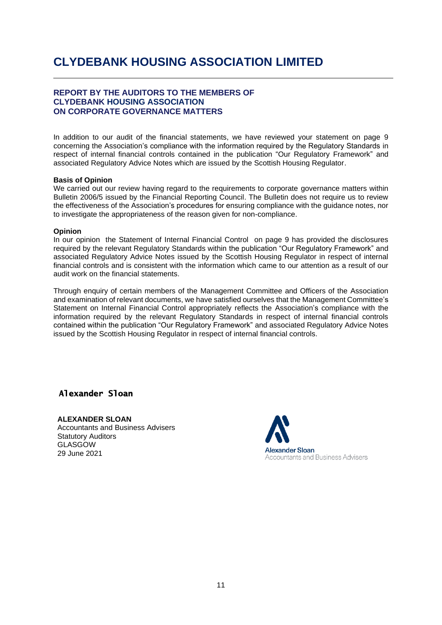### **REPORT BY THE AUDITORS TO THE MEMBERS OF CLYDEBANK HOUSING ASSOCIATION ON CORPORATE GOVERNANCE MATTERS**

In addition to our audit of the financial statements, we have reviewed your statement on page 9 concerning the Association's compliance with the information required by the Regulatory Standards in respect of internal financial controls contained in the publication "Our Regulatory Framework" and associated Regulatory Advice Notes which are issued by the Scottish Housing Regulator.

### **Basis of Opinion**

We carried out our review having regard to the requirements to corporate governance matters within Bulletin 2006/5 issued by the Financial Reporting Council. The Bulletin does not require us to review the effectiveness of the Association's procedures for ensuring compliance with the guidance notes, nor to investigate the appropriateness of the reason given for non-compliance.

#### **Opinion**

In our opinion the Statement of Internal Financial Control on page 9 has provided the disclosures required by the relevant Regulatory Standards within the publication "Our Regulatory Framework" and associated Regulatory Advice Notes issued by the Scottish Housing Regulator in respect of internal financial controls and is consistent with the information which came to our attention as a result of our audit work on the financial statements.

Through enquiry of certain members of the Management Committee and Officers of the Association and examination of relevant documents, we have satisfied ourselves that the Management Committee's Statement on Internal Financial Control appropriately reflects the Association's compliance with the information required by the relevant Regulatory Standards in respect of internal financial controls contained within the publication "Our Regulatory Framework" and associated Regulatory Advice Notes issued by the Scottish Housing Regulator in respect of internal financial controls.

## **Alexander Sloan**

#### **ALEXANDER SLOAN** Accountants and Business Advisers

Statutory Auditors GLASGOW 29 June 2021

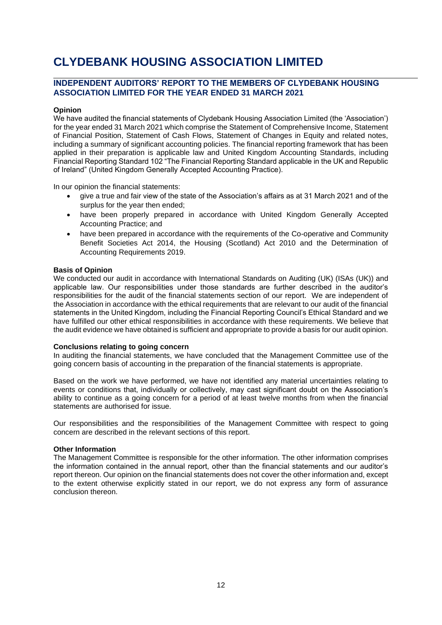## **INDEPENDENT AUDITORS' REPORT TO THE MEMBERS OF CLYDEBANK HOUSING ASSOCIATION LIMITED FOR THE YEAR ENDED 31 MARCH 2021**

### **Opinion**

We have audited the financial statements of Clydebank Housing Association Limited (the 'Association') for the year ended 31 March 2021 which comprise the Statement of Comprehensive Income, Statement of Financial Position, Statement of Cash Flows, Statement of Changes in Equity and related notes, including a summary of significant accounting policies. The financial reporting framework that has been applied in their preparation is applicable law and United Kingdom Accounting Standards, including Financial Reporting Standard 102 "The Financial Reporting Standard applicable in the UK and Republic of Ireland" (United Kingdom Generally Accepted Accounting Practice).

In our opinion the financial statements:

- give a true and fair view of the state of the Association's affairs as at 31 March 2021 and of the surplus for the year then ended;
- have been properly prepared in accordance with United Kingdom Generally Accepted Accounting Practice; and
- have been prepared in accordance with the requirements of the Co-operative and Community Benefit Societies Act 2014, the Housing (Scotland) Act 2010 and the Determination of Accounting Requirements 2019.

#### **Basis of Opinion**

We conducted our audit in accordance with International Standards on Auditing (UK) (ISAs (UK)) and applicable law. Our responsibilities under those standards are further described in the auditor's responsibilities for the audit of the financial statements section of our report. We are independent of the Association in accordance with the ethical requirements that are relevant to our audit of the financial statements in the United Kingdom, including the Financial Reporting Council's Ethical Standard and we have fulfilled our other ethical responsibilities in accordance with these requirements. We believe that the audit evidence we have obtained is sufficient and appropriate to provide a basis for our audit opinion.

#### **Conclusions relating to going concern**

In auditing the financial statements, we have concluded that the Management Committee use of the going concern basis of accounting in the preparation of the financial statements is appropriate.

Based on the work we have performed, we have not identified any material uncertainties relating to events or conditions that, individually or collectively, may cast significant doubt on the Association's ability to continue as a going concern for a period of at least twelve months from when the financial statements are authorised for issue.

Our responsibilities and the responsibilities of the Management Committee with respect to going concern are described in the relevant sections of this report.

#### **Other Information**

The Management Committee is responsible for the other information. The other information comprises the information contained in the annual report, other than the financial statements and our auditor's report thereon. Our opinion on the financial statements does not cover the other information and, except to the extent otherwise explicitly stated in our report, we do not express any form of assurance conclusion thereon.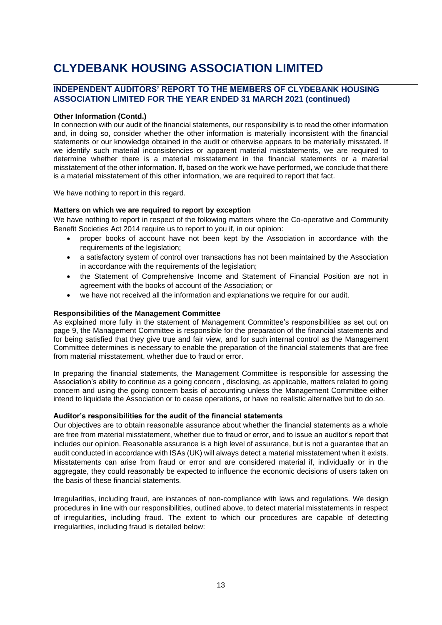### **INDEPENDENT AUDITORS' REPORT TO THE MEMBERS OF CLYDEBANK HOUSING ASSOCIATION LIMITED FOR THE YEAR ENDED 31 MARCH 2021 (continued)**

#### **Other Information (Contd.)**

In connection with our audit of the financial statements, our responsibility is to read the other information and, in doing so, consider whether the other information is materially inconsistent with the financial statements or our knowledge obtained in the audit or otherwise appears to be materially misstated. If we identify such material inconsistencies or apparent material misstatements, we are required to determine whether there is a material misstatement in the financial statements or a material misstatement of the other information. If, based on the work we have performed, we conclude that there is a material misstatement of this other information, we are required to report that fact.

We have nothing to report in this regard.

#### **Matters on which we are required to report by exception**

We have nothing to report in respect of the following matters where the Co-operative and Community Benefit Societies Act 2014 require us to report to you if, in our opinion:

- proper books of account have not been kept by the Association in accordance with the requirements of the legislation;
- a satisfactory system of control over transactions has not been maintained by the Association in accordance with the requirements of the legislation:
- the Statement of Comprehensive Income and Statement of Financial Position are not in agreement with the books of account of the Association; or
- we have not received all the information and explanations we require for our audit.

### **Responsibilities of the Management Committee**

As explained more fully in the statement of Management Committee's responsibilities as set out on page 9, the Management Committee is responsible for the preparation of the financial statements and for being satisfied that they give true and fair view, and for such internal control as the Management Committee determines is necessary to enable the preparation of the financial statements that are free from material misstatement, whether due to fraud or error.

In preparing the financial statements, the Management Committee is responsible for assessing the Association's ability to continue as a going concern , disclosing, as applicable, matters related to going concern and using the going concern basis of accounting unless the Management Committee either intend to liquidate the Association or to cease operations, or have no realistic alternative but to do so.

#### **Auditor's responsibilities for the audit of the financial statements**

Our objectives are to obtain reasonable assurance about whether the financial statements as a whole are free from material misstatement, whether due to fraud or error, and to issue an auditor's report that includes our opinion. Reasonable assurance is a high level of assurance, but is not a guarantee that an audit conducted in accordance with ISAs (UK) will always detect a material misstatement when it exists. Misstatements can arise from fraud or error and are considered material if, individually or in the aggregate, they could reasonably be expected to influence the economic decisions of users taken on the basis of these financial statements.

Irregularities, including fraud, are instances of non-compliance with laws and regulations. We design procedures in line with our responsibilities, outlined above, to detect material misstatements in respect of irregularities, including fraud. The extent to which our procedures are capable of detecting irregularities, including fraud is detailed below: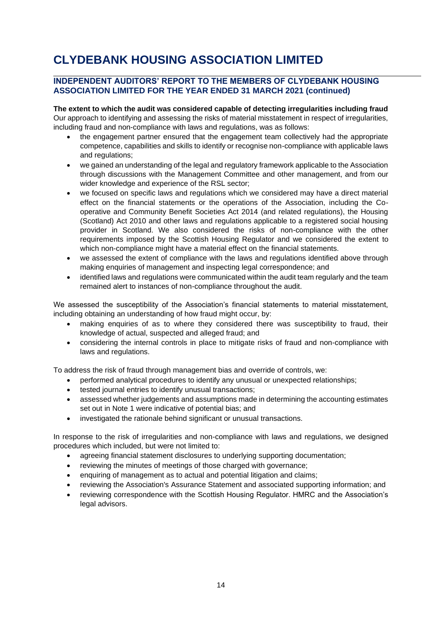## **INDEPENDENT AUDITORS' REPORT TO THE MEMBERS OF CLYDEBANK HOUSING ASSOCIATION LIMITED FOR THE YEAR ENDED 31 MARCH 2021 (continued)**

**The extent to which the audit was considered capable of detecting irregularities including fraud** Our approach to identifying and assessing the risks of material misstatement in respect of irregularities, including fraud and non-compliance with laws and regulations, was as follows:

- the engagement partner ensured that the engagement team collectively had the appropriate competence, capabilities and skills to identify or recognise non-compliance with applicable laws and regulations;
- we gained an understanding of the legal and regulatory framework applicable to the Association through discussions with the Management Committee and other management, and from our wider knowledge and experience of the RSL sector;
- we focused on specific laws and regulations which we considered may have a direct material effect on the financial statements or the operations of the Association, including the Cooperative and Community Benefit Societies Act 2014 (and related regulations), the Housing (Scotland) Act 2010 and other laws and regulations applicable to a registered social housing provider in Scotland. We also considered the risks of non-compliance with the other requirements imposed by the Scottish Housing Regulator and we considered the extent to which non-compliance might have a material effect on the financial statements.
- we assessed the extent of compliance with the laws and regulations identified above through making enquiries of management and inspecting legal correspondence; and
- identified laws and regulations were communicated within the audit team regularly and the team remained alert to instances of non-compliance throughout the audit.

We assessed the susceptibility of the Association's financial statements to material misstatement, including obtaining an understanding of how fraud might occur, by:

- making enquiries of as to where they considered there was susceptibility to fraud, their knowledge of actual, suspected and alleged fraud; and
- considering the internal controls in place to mitigate risks of fraud and non-compliance with laws and regulations.

To address the risk of fraud through management bias and override of controls, we:

- performed analytical procedures to identify any unusual or unexpected relationships;
- tested journal entries to identify unusual transactions;
- assessed whether judgements and assumptions made in determining the accounting estimates set out in Note 1 were indicative of potential bias; and
- investigated the rationale behind significant or unusual transactions.

In response to the risk of irregularities and non-compliance with laws and regulations, we designed procedures which included, but were not limited to:

- agreeing financial statement disclosures to underlying supporting documentation;
- reviewing the minutes of meetings of those charged with governance;
- enquiring of management as to actual and potential litigation and claims;
- reviewing the Association's Assurance Statement and associated supporting information; and
- reviewing correspondence with the Scottish Housing Regulator. HMRC and the Association's legal advisors.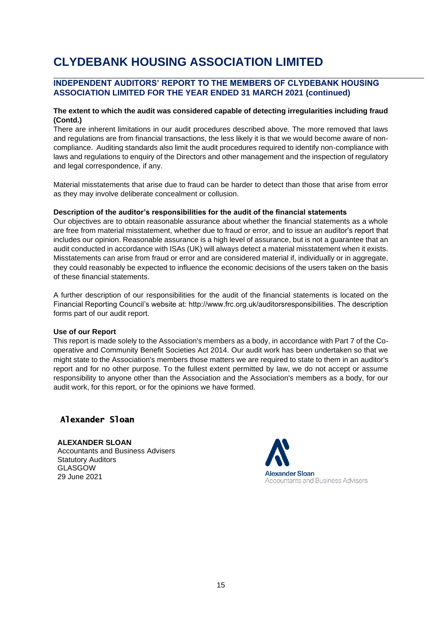## **INDEPENDENT AUDITORS' REPORT TO THE MEMBERS OF CLYDEBANK HOUSING ASSOCIATION LIMITED FOR THE YEAR ENDED 31 MARCH 2021 (continued)**

### **The extent to which the audit was considered capable of detecting irregularities including fraud (Contd.)**

There are inherent limitations in our audit procedures described above. The more removed that laws and regulations are from financial transactions, the less likely it is that we would become aware of noncompliance. Auditing standards also limit the audit procedures required to identify non-compliance with laws and regulations to enquiry of the Directors and other management and the inspection of regulatory and legal correspondence, if any.

Material misstatements that arise due to fraud can be harder to detect than those that arise from error as they may involve deliberate concealment or collusion.

#### **Description of the auditor's responsibilities for the audit of the financial statements**

Our objectives are to obtain reasonable assurance about whether the financial statements as a whole are free from material misstatement, whether due to fraud or error, and to issue an auditor's report that includes our opinion. Reasonable assurance is a high level of assurance, but is not a guarantee that an audit conducted in accordance with ISAs (UK) will always detect a material misstatement when it exists. Misstatements can arise from fraud or error and are considered material if, individually or in aggregate, they could reasonably be expected to influence the economic decisions of the users taken on the basis of these financial statements.

A further description of our responsibilities for the audit of the financial statements is located on the Financial Reporting Council's website at: http://www.frc.org.uk/auditorsresponsibilities. The description forms part of our audit report.

#### **Use of our Report**

This report is made solely to the Association's members as a body, in accordance with Part 7 of the Cooperative and Community Benefit Societies Act 2014. Our audit work has been undertaken so that we might state to the Association's members those matters we are required to state to them in an auditor's report and for no other purpose. To the fullest extent permitted by law, we do not accept or assume responsibility to anyone other than the Association and the Association's members as a body, for our audit work, for this report, or for the opinions we have formed.

## **Alexander Sloan**

**ALEXANDER SLOAN** Accountants and Business Advisers Statutory Auditors **GLASGOW** 29 June 2021

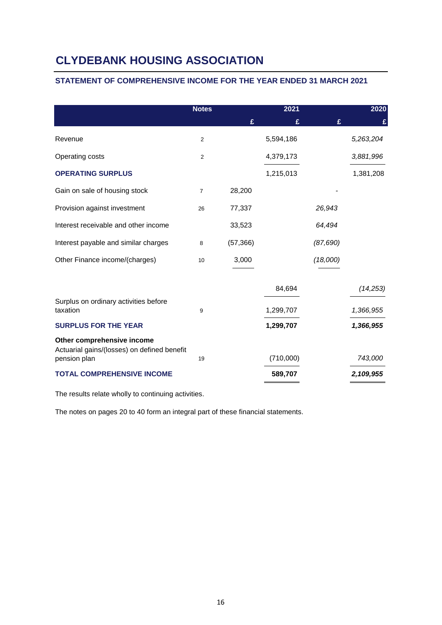## **STATEMENT OF COMPREHENSIVE INCOME FOR THE YEAR ENDED 31 MARCH 2021**

|                                                             | <b>Notes</b>   |           | 2021      |           | 2020      |
|-------------------------------------------------------------|----------------|-----------|-----------|-----------|-----------|
|                                                             |                | £         | £         | £         | £         |
| Revenue                                                     | $\overline{2}$ |           | 5,594,186 |           | 5,263,204 |
| Operating costs                                             | $\overline{2}$ |           | 4,379,173 |           | 3,881,996 |
| <b>OPERATING SURPLUS</b>                                    |                |           | 1,215,013 |           | 1,381,208 |
| Gain on sale of housing stock                               | $\overline{7}$ | 28,200    |           |           |           |
| Provision against investment                                | 26             | 77,337    |           | 26,943    |           |
| Interest receivable and other income                        |                | 33,523    |           | 64,494    |           |
| Interest payable and similar charges                        | 8              | (57, 366) |           | (87, 690) |           |
| Other Finance income/(charges)                              | 10             | 3,000     |           | (18,000)  |           |
|                                                             |                |           |           |           |           |
|                                                             |                |           | 84,694    |           | (14, 253) |
| Surplus on ordinary activities before<br>taxation           | 9              |           | 1,299,707 |           | 1,366,955 |
| <b>SURPLUS FOR THE YEAR</b>                                 |                |           | 1,299,707 |           | 1,366,955 |
| Other comprehensive income                                  |                |           |           |           |           |
| Actuarial gains/(losses) on defined benefit<br>pension plan | 19             |           | (710,000) |           | 743,000   |
| <b>TOTAL COMPREHENSIVE INCOME</b>                           |                |           | 589,707   |           | 2,109,955 |

The results relate wholly to continuing activities.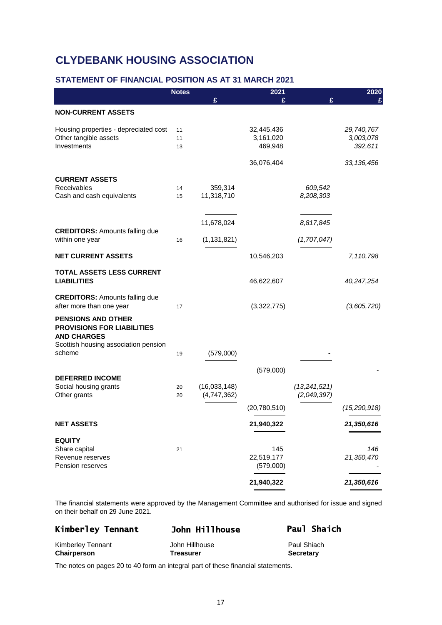## **STATEMENT OF FINANCIAL POSITION AS AT 31 MARCH 2021**

|                                                                | <b>Notes</b> |               | 2021                    |              | 2020           |
|----------------------------------------------------------------|--------------|---------------|-------------------------|--------------|----------------|
|                                                                |              | £             | £                       | £            |                |
| <b>NON-CURRENT ASSETS</b>                                      |              |               |                         |              |                |
| Housing properties - depreciated cost                          | 11           |               | 32,445,436              |              | 29,740,767     |
| Other tangible assets<br>Investments                           | 11           |               | 3,161,020               |              | 3,003,078      |
|                                                                | 13           |               | 469,948                 |              | 392,611        |
|                                                                |              |               | 36,076,404              |              | 33, 136, 456   |
| <b>CURRENT ASSETS</b>                                          |              |               |                         |              |                |
| Receivables                                                    | 14           | 359,314       |                         | 609,542      |                |
| Cash and cash equivalents                                      | 15           | 11,318,710    |                         | 8,208,303    |                |
|                                                                |              |               |                         |              |                |
| <b>CREDITORS: Amounts falling due</b>                          |              | 11,678,024    |                         | 8,817,845    |                |
| within one year                                                | 16           | (1, 131, 821) |                         | (1,707,047)  |                |
| <b>NET CURRENT ASSETS</b>                                      |              |               | 10,546,203              |              | 7,110,798      |
| <b>TOTAL ASSETS LESS CURRENT</b>                               |              |               |                         |              |                |
| <b>LIABILITIES</b>                                             |              |               | 46,622,607              |              | 40,247,254     |
| <b>CREDITORS: Amounts falling due</b>                          |              |               |                         |              |                |
| after more than one year                                       | 17           |               | (3,322,775)             |              | (3,605,720)    |
| <b>PENSIONS AND OTHER</b><br><b>PROVISIONS FOR LIABILITIES</b> |              |               |                         |              |                |
| <b>AND CHARGES</b>                                             |              |               |                         |              |                |
| Scottish housing association pension                           |              |               |                         |              |                |
| scheme                                                         | 19           | (579,000)     |                         |              |                |
|                                                                |              |               | (579,000)               |              |                |
| <b>DEFERRED INCOME</b><br>Social housing grants                | 20           | (16,033,148)  |                         | (13,241,521) |                |
| Other grants                                                   | 20           | (4,747,362)   |                         | (2,049,397)  |                |
|                                                                |              |               | (20, 780, 510)          |              | (15, 290, 918) |
| <b>NET ASSETS</b>                                              |              |               | 21,940,322              |              | 21,350,616     |
| <b>EQUITY</b>                                                  |              |               |                         |              |                |
| Share capital                                                  | 21           |               | 145                     |              | 146            |
| Revenue reserves<br>Pension reserves                           |              |               | 22,519,177<br>(579,000) |              | 21,350,470     |
|                                                                |              |               |                         |              |                |
|                                                                |              |               | 21,940,322              |              | 21,350,616     |

The financial statements were approved by the Management Committee and authorised for issue and signed on their behalf on 29 June 2021.

|                  | Paul Shaich      |
|------------------|------------------|
| John Hillhouse   | Paul Shiach      |
| <b>Treasurer</b> | <b>Secretary</b> |
|                  | John Hillhouse   |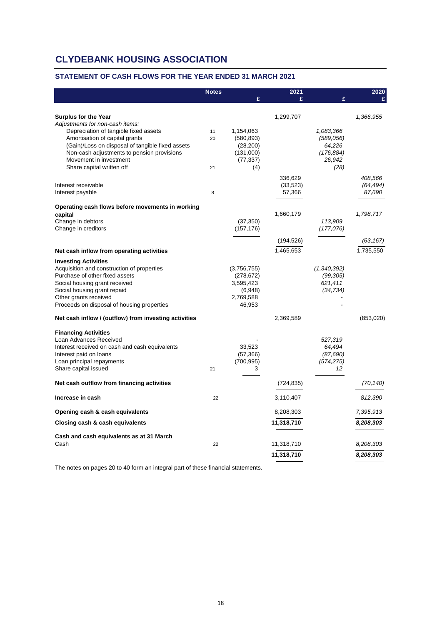### **STATEMENT OF CASH FLOWS FOR THE YEAR ENDED 31 MARCH 2021**

| £<br>£<br>ç<br>Surplus for the Year<br>1,299,707<br>1,366,955<br>Adjustments for non-cash items:<br>Depreciation of tangible fixed assets<br>1,154,063<br>1,083,366<br>11<br>Amortisation of capital grants<br>(580, 893)<br>(589, 056)<br>20<br>(Gain)/Loss on disposal of tangible fixed assets<br>64,226<br>(28, 200)<br>Non-cash adjustments to pension provisions<br>(176, 884)<br>(131,000)<br>Movement in investment<br>26,942<br>(77, 337)<br>Share capital written off<br>(4)<br>(28)<br>21<br>336,629<br>408,566<br>(64, 494)<br>Interest receivable<br>(33, 523)<br>57,366<br>87,690<br>Interest payable<br>8<br>Operating cash flows before movements in working<br>1,660,179<br>1,798,717<br>capital<br>Change in debtors<br>(37, 350)<br>113,909<br>Change in creditors<br>(157, 176)<br>(177,076)<br>(194, 526)<br>(63, 167)<br>1,465,653<br>1,735,550<br>Net cash inflow from operating activities<br><b>Investing Activities</b><br>Acquisition and construction of properties<br>(3,756,755)<br>(1,340,392)<br>Purchase of other fixed assets<br>(278, 672)<br>(99, 305)<br>Social housing grant received<br>3,595,423<br>621,411<br>Social housing grant repaid<br>(6,948)<br>(34, 734)<br>Other grants received<br>2,769,588<br>Proceeds on disposal of housing properties<br>46,953<br>Net cash inflow / (outflow) from investing activities<br>2,369,589<br>(853,020)<br><b>Financing Activities</b><br>Loan Advances Received<br>527,319<br>Interest received on cash and cash equivalents<br>33,523<br>64,494<br>Interest paid on loans<br>(57, 366)<br>(87, 690)<br>Loan principal repayments<br>(700, 995)<br>(574, 275)<br>Share capital issued<br>3<br>12<br>21 | <b>Notes</b> | 2021 | 2020 |
|---------------------------------------------------------------------------------------------------------------------------------------------------------------------------------------------------------------------------------------------------------------------------------------------------------------------------------------------------------------------------------------------------------------------------------------------------------------------------------------------------------------------------------------------------------------------------------------------------------------------------------------------------------------------------------------------------------------------------------------------------------------------------------------------------------------------------------------------------------------------------------------------------------------------------------------------------------------------------------------------------------------------------------------------------------------------------------------------------------------------------------------------------------------------------------------------------------------------------------------------------------------------------------------------------------------------------------------------------------------------------------------------------------------------------------------------------------------------------------------------------------------------------------------------------------------------------------------------------------------------------------------------------------------------------------------------|--------------|------|------|
|                                                                                                                                                                                                                                                                                                                                                                                                                                                                                                                                                                                                                                                                                                                                                                                                                                                                                                                                                                                                                                                                                                                                                                                                                                                                                                                                                                                                                                                                                                                                                                                                                                                                                             |              |      |      |
|                                                                                                                                                                                                                                                                                                                                                                                                                                                                                                                                                                                                                                                                                                                                                                                                                                                                                                                                                                                                                                                                                                                                                                                                                                                                                                                                                                                                                                                                                                                                                                                                                                                                                             |              |      |      |
|                                                                                                                                                                                                                                                                                                                                                                                                                                                                                                                                                                                                                                                                                                                                                                                                                                                                                                                                                                                                                                                                                                                                                                                                                                                                                                                                                                                                                                                                                                                                                                                                                                                                                             |              |      |      |
|                                                                                                                                                                                                                                                                                                                                                                                                                                                                                                                                                                                                                                                                                                                                                                                                                                                                                                                                                                                                                                                                                                                                                                                                                                                                                                                                                                                                                                                                                                                                                                                                                                                                                             |              |      |      |
|                                                                                                                                                                                                                                                                                                                                                                                                                                                                                                                                                                                                                                                                                                                                                                                                                                                                                                                                                                                                                                                                                                                                                                                                                                                                                                                                                                                                                                                                                                                                                                                                                                                                                             |              |      |      |
|                                                                                                                                                                                                                                                                                                                                                                                                                                                                                                                                                                                                                                                                                                                                                                                                                                                                                                                                                                                                                                                                                                                                                                                                                                                                                                                                                                                                                                                                                                                                                                                                                                                                                             |              |      |      |
|                                                                                                                                                                                                                                                                                                                                                                                                                                                                                                                                                                                                                                                                                                                                                                                                                                                                                                                                                                                                                                                                                                                                                                                                                                                                                                                                                                                                                                                                                                                                                                                                                                                                                             |              |      |      |
|                                                                                                                                                                                                                                                                                                                                                                                                                                                                                                                                                                                                                                                                                                                                                                                                                                                                                                                                                                                                                                                                                                                                                                                                                                                                                                                                                                                                                                                                                                                                                                                                                                                                                             |              |      |      |
|                                                                                                                                                                                                                                                                                                                                                                                                                                                                                                                                                                                                                                                                                                                                                                                                                                                                                                                                                                                                                                                                                                                                                                                                                                                                                                                                                                                                                                                                                                                                                                                                                                                                                             |              |      |      |
|                                                                                                                                                                                                                                                                                                                                                                                                                                                                                                                                                                                                                                                                                                                                                                                                                                                                                                                                                                                                                                                                                                                                                                                                                                                                                                                                                                                                                                                                                                                                                                                                                                                                                             |              |      |      |
|                                                                                                                                                                                                                                                                                                                                                                                                                                                                                                                                                                                                                                                                                                                                                                                                                                                                                                                                                                                                                                                                                                                                                                                                                                                                                                                                                                                                                                                                                                                                                                                                                                                                                             |              |      |      |
|                                                                                                                                                                                                                                                                                                                                                                                                                                                                                                                                                                                                                                                                                                                                                                                                                                                                                                                                                                                                                                                                                                                                                                                                                                                                                                                                                                                                                                                                                                                                                                                                                                                                                             |              |      |      |
|                                                                                                                                                                                                                                                                                                                                                                                                                                                                                                                                                                                                                                                                                                                                                                                                                                                                                                                                                                                                                                                                                                                                                                                                                                                                                                                                                                                                                                                                                                                                                                                                                                                                                             |              |      |      |
|                                                                                                                                                                                                                                                                                                                                                                                                                                                                                                                                                                                                                                                                                                                                                                                                                                                                                                                                                                                                                                                                                                                                                                                                                                                                                                                                                                                                                                                                                                                                                                                                                                                                                             |              |      |      |
|                                                                                                                                                                                                                                                                                                                                                                                                                                                                                                                                                                                                                                                                                                                                                                                                                                                                                                                                                                                                                                                                                                                                                                                                                                                                                                                                                                                                                                                                                                                                                                                                                                                                                             |              |      |      |
|                                                                                                                                                                                                                                                                                                                                                                                                                                                                                                                                                                                                                                                                                                                                                                                                                                                                                                                                                                                                                                                                                                                                                                                                                                                                                                                                                                                                                                                                                                                                                                                                                                                                                             |              |      |      |
|                                                                                                                                                                                                                                                                                                                                                                                                                                                                                                                                                                                                                                                                                                                                                                                                                                                                                                                                                                                                                                                                                                                                                                                                                                                                                                                                                                                                                                                                                                                                                                                                                                                                                             |              |      |      |
|                                                                                                                                                                                                                                                                                                                                                                                                                                                                                                                                                                                                                                                                                                                                                                                                                                                                                                                                                                                                                                                                                                                                                                                                                                                                                                                                                                                                                                                                                                                                                                                                                                                                                             |              |      |      |
|                                                                                                                                                                                                                                                                                                                                                                                                                                                                                                                                                                                                                                                                                                                                                                                                                                                                                                                                                                                                                                                                                                                                                                                                                                                                                                                                                                                                                                                                                                                                                                                                                                                                                             |              |      |      |
|                                                                                                                                                                                                                                                                                                                                                                                                                                                                                                                                                                                                                                                                                                                                                                                                                                                                                                                                                                                                                                                                                                                                                                                                                                                                                                                                                                                                                                                                                                                                                                                                                                                                                             |              |      |      |
|                                                                                                                                                                                                                                                                                                                                                                                                                                                                                                                                                                                                                                                                                                                                                                                                                                                                                                                                                                                                                                                                                                                                                                                                                                                                                                                                                                                                                                                                                                                                                                                                                                                                                             |              |      |      |
|                                                                                                                                                                                                                                                                                                                                                                                                                                                                                                                                                                                                                                                                                                                                                                                                                                                                                                                                                                                                                                                                                                                                                                                                                                                                                                                                                                                                                                                                                                                                                                                                                                                                                             |              |      |      |
|                                                                                                                                                                                                                                                                                                                                                                                                                                                                                                                                                                                                                                                                                                                                                                                                                                                                                                                                                                                                                                                                                                                                                                                                                                                                                                                                                                                                                                                                                                                                                                                                                                                                                             |              |      |      |
|                                                                                                                                                                                                                                                                                                                                                                                                                                                                                                                                                                                                                                                                                                                                                                                                                                                                                                                                                                                                                                                                                                                                                                                                                                                                                                                                                                                                                                                                                                                                                                                                                                                                                             |              |      |      |
|                                                                                                                                                                                                                                                                                                                                                                                                                                                                                                                                                                                                                                                                                                                                                                                                                                                                                                                                                                                                                                                                                                                                                                                                                                                                                                                                                                                                                                                                                                                                                                                                                                                                                             |              |      |      |
|                                                                                                                                                                                                                                                                                                                                                                                                                                                                                                                                                                                                                                                                                                                                                                                                                                                                                                                                                                                                                                                                                                                                                                                                                                                                                                                                                                                                                                                                                                                                                                                                                                                                                             |              |      |      |
|                                                                                                                                                                                                                                                                                                                                                                                                                                                                                                                                                                                                                                                                                                                                                                                                                                                                                                                                                                                                                                                                                                                                                                                                                                                                                                                                                                                                                                                                                                                                                                                                                                                                                             |              |      |      |
|                                                                                                                                                                                                                                                                                                                                                                                                                                                                                                                                                                                                                                                                                                                                                                                                                                                                                                                                                                                                                                                                                                                                                                                                                                                                                                                                                                                                                                                                                                                                                                                                                                                                                             |              |      |      |
|                                                                                                                                                                                                                                                                                                                                                                                                                                                                                                                                                                                                                                                                                                                                                                                                                                                                                                                                                                                                                                                                                                                                                                                                                                                                                                                                                                                                                                                                                                                                                                                                                                                                                             |              |      |      |
| Net cash outflow from financing activities<br>(724, 835)<br>(70, 140)                                                                                                                                                                                                                                                                                                                                                                                                                                                                                                                                                                                                                                                                                                                                                                                                                                                                                                                                                                                                                                                                                                                                                                                                                                                                                                                                                                                                                                                                                                                                                                                                                       |              |      |      |
| Increase in cash<br>22<br>3,110,407<br>812,390                                                                                                                                                                                                                                                                                                                                                                                                                                                                                                                                                                                                                                                                                                                                                                                                                                                                                                                                                                                                                                                                                                                                                                                                                                                                                                                                                                                                                                                                                                                                                                                                                                              |              |      |      |
| Opening cash & cash equivalents<br>7,395,913<br>8,208,303                                                                                                                                                                                                                                                                                                                                                                                                                                                                                                                                                                                                                                                                                                                                                                                                                                                                                                                                                                                                                                                                                                                                                                                                                                                                                                                                                                                                                                                                                                                                                                                                                                   |              |      |      |
| 11,318,710<br>Closing cash & cash equivalents<br>8,208,303                                                                                                                                                                                                                                                                                                                                                                                                                                                                                                                                                                                                                                                                                                                                                                                                                                                                                                                                                                                                                                                                                                                                                                                                                                                                                                                                                                                                                                                                                                                                                                                                                                  |              |      |      |
| Cash and cash equivalents as at 31 March                                                                                                                                                                                                                                                                                                                                                                                                                                                                                                                                                                                                                                                                                                                                                                                                                                                                                                                                                                                                                                                                                                                                                                                                                                                                                                                                                                                                                                                                                                                                                                                                                                                    |              |      |      |
| Cash<br>22<br>8,208,303<br>11,318,710                                                                                                                                                                                                                                                                                                                                                                                                                                                                                                                                                                                                                                                                                                                                                                                                                                                                                                                                                                                                                                                                                                                                                                                                                                                                                                                                                                                                                                                                                                                                                                                                                                                       |              |      |      |
| 11,318,710<br>8,208,303                                                                                                                                                                                                                                                                                                                                                                                                                                                                                                                                                                                                                                                                                                                                                                                                                                                                                                                                                                                                                                                                                                                                                                                                                                                                                                                                                                                                                                                                                                                                                                                                                                                                     |              |      |      |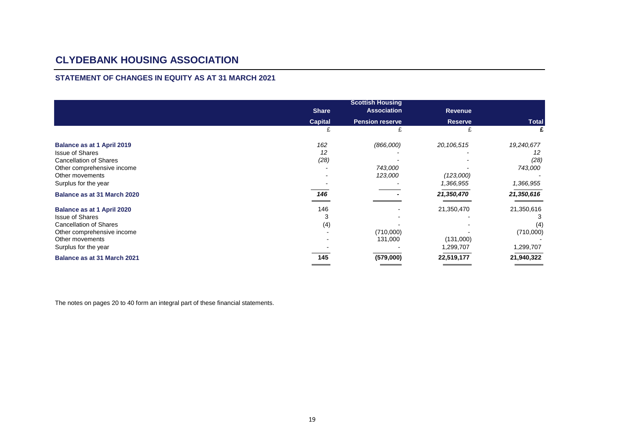### **STATEMENT OF CHANGES IN EQUITY AS AT 31 MARCH 2021**

|                                   | <b>Share</b>   | <b>Scottish Housing</b><br><b>Association</b> | <b>Revenue</b> |              |
|-----------------------------------|----------------|-----------------------------------------------|----------------|--------------|
|                                   | <b>Capital</b> | <b>Pension reserve</b>                        | <b>Reserve</b> | <b>Total</b> |
|                                   | £              |                                               |                |              |
| <b>Balance as at 1 April 2019</b> | 162            | (866,000)                                     | 20,106,515     | 19,240,677   |
| <b>Issue of Shares</b>            | 12             |                                               |                | 12           |
| <b>Cancellation of Shares</b>     | (28)           |                                               |                | (28)         |
| Other comprehensive income        |                | 743,000                                       |                | 743,000      |
| Other movements                   |                | 123,000                                       | (123,000)      |              |
| Surplus for the year              |                |                                               | 1,366,955      | 1,366,955    |
| Balance as at 31 March 2020       | 146            |                                               | 21,350,470     | 21,350,616   |
| Balance as at 1 April 2020        | 146            |                                               | 21,350,470     | 21,350,616   |
| <b>Issue of Shares</b>            | 3              |                                               |                |              |
| <b>Cancellation of Shares</b>     | (4)            |                                               |                | (4)          |
| Other comprehensive income        |                | (710,000)                                     |                | (710,000)    |
| Other movements                   |                | 131,000                                       | (131,000)      |              |
| Surplus for the year              |                |                                               | 1,299,707      | 1,299,707    |
| Balance as at 31 March 2021       | 145            | (579,000)                                     | 22,519,177     | 21,940,322   |
|                                   |                |                                               |                |              |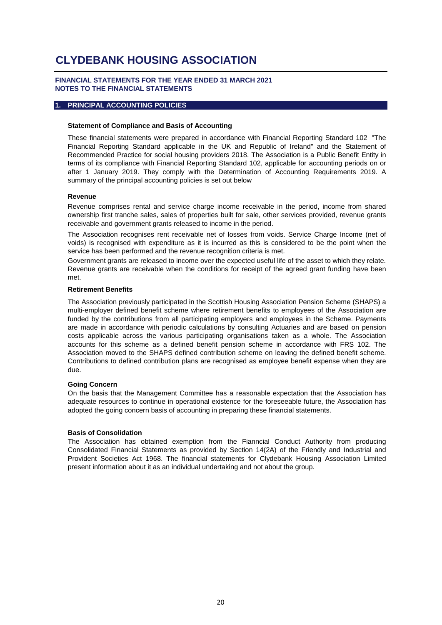#### **FINANCIAL STATEMENTS FOR THE YEAR ENDED 31 MARCH 2021 NOTES TO THE FINANCIAL STATEMENTS**

#### **1. PRINCIPAL ACCOUNTING POLICIES**

#### **Statement of Compliance and Basis of Accounting**

These financial statements were prepared in accordance with Financial Reporting Standard 102 "The Financial Reporting Standard applicable in the UK and Republic of Ireland" and the Statement of Recommended Practice for social housing providers 2018. The Association is a Public Benefit Entity in terms of its compliance with Financial Reporting Standard 102, applicable for accounting periods on or after 1 January 2019. They comply with the Determination of Accounting Requirements 2019. A summary of the principal accounting policies is set out below

#### **Revenue**

Revenue comprises rental and service charge income receivable in the period, income from shared ownership first tranche sales, sales of properties built for sale, other services provided, revenue grants receivable and government grants released to income in the period.

The Association recognises rent receivable net of losses from voids. Service Charge Income (net of voids) is recognised with expenditure as it is incurred as this is considered to be the point when the service has been performed and the revenue recognition criteria is met.

Government grants are released to income over the expected useful life of the asset to which they relate. Revenue grants are receivable when the conditions for receipt of the agreed grant funding have been met.

#### **Retirement Benefits**

The Association previously participated in the Scottish Housing Association Pension Scheme (SHAPS) a multi-employer defined benefit scheme where retirement benefits to employees of the Association are funded by the contributions from all participating employers and employees in the Scheme. Payments are made in accordance with periodic calculations by consulting Actuaries and are based on pension costs applicable across the various participating organisations taken as a whole. The Association accounts for this scheme as a defined benefit pension scheme in accordance with FRS 102. The Association moved to the SHAPS defined contribution scheme on leaving the defined benefit scheme. Contributions to defined contribution plans are recognised as employee benefit expense when they are due.

#### **Going Concern**

On the basis that the Management Committee has a reasonable expectation that the Association has adequate resources to continue in operational existence for the foreseeable future, the Association has adopted the going concern basis of accounting in preparing these financial statements.

#### **Basis of Consolidation**

The Association has obtained exemption from the Fianncial Conduct Authority from producing Consolidated Financial Statements as provided by Section 14(2A) of the Friendly and Industrial and Provident Societies Act 1968. The financial statements for Clydebank Housing Association Limited present information about it as an individual undertaking and not about the group.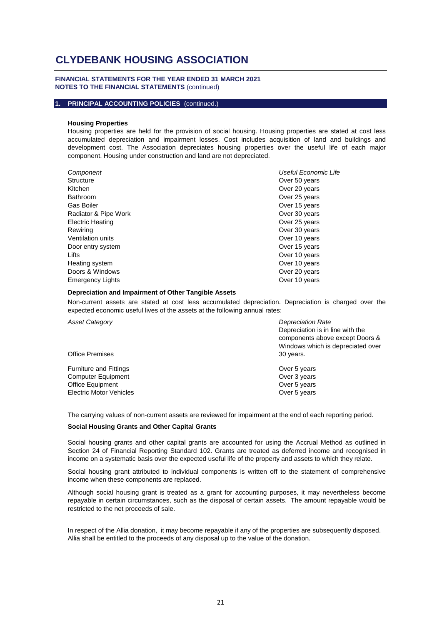#### **FINANCIAL STATEMENTS FOR THE YEAR ENDED 31 MARCH 2021 NOTES TO THE FINANCIAL STATEMENTS** (continued)

#### **1. PRINCIPAL ACCOUNTING POLICIES** (continued.)

#### **Housing Properties**

Housing properties are held for the provision of social housing. Housing properties are stated at cost less accumulated depreciation and impairment losses. Cost includes acquisition of land and buildings and development cost. The Association depreciates housing properties over the useful life of each major component. Housing under construction and land are not depreciated.

| Component               | Useful Economic Life |
|-------------------------|----------------------|
| Structure               | Over 50 years        |
| Kitchen                 | Over 20 years        |
| Bathroom                | Over 25 years        |
| <b>Gas Boiler</b>       | Over 15 years        |
| Radiator & Pipe Work    | Over 30 years        |
| <b>Electric Heating</b> | Over 25 years        |
| Rewiring                | Over 30 years        |
| Ventilation units       | Over 10 years        |
| Door entry system       | Over 15 years        |
| Lifts                   | Over 10 years        |
| Heating system          | Over 10 years        |
| Doors & Windows         | Over 20 years        |
| <b>Emergency Lights</b> | Over 10 years        |

#### **Depreciation and Impairment of Other Tangible Assets**

Non-current assets are stated at cost less accumulated depreciation. Depreciation is charged over the expected economic useful lives of the assets at the following annual rates:

| <b>Asset Category</b>          | <b>Depreciation Rate</b>          |
|--------------------------------|-----------------------------------|
|                                | Depreciation is in line with the  |
|                                | components above except Doors &   |
|                                | Windows which is depreciated over |
| <b>Office Premises</b>         | 30 years.                         |
| <b>Furniture and Fittings</b>  | Over 5 years                      |
| <b>Computer Equipment</b>      | Over 3 years                      |
| <b>Office Equipment</b>        | Over 5 years                      |
| <b>Electric Motor Vehicles</b> | Over 5 years                      |
|                                |                                   |

The carrying values of non-current assets are reviewed for impairment at the end of each reporting period.

#### **Social Housing Grants and Other Capital Grants**

Social housing grants and other capital grants are accounted for using the Accrual Method as outlined in Section 24 of Financial Reporting Standard 102. Grants are treated as deferred income and recognised in income on a systematic basis over the expected useful life of the property and assets to which they relate.

Social housing grant attributed to individual components is written off to the statement of comprehensive income when these components are replaced.

Although social housing grant is treated as a grant for accounting purposes, it may nevertheless become repayable in certain circumstances, such as the disposal of certain assets. The amount repayable would be restricted to the net proceeds of sale.

In respect of the Allia donation, it may become repayable if any of the properties are subsequently disposed. Allia shall be entitled to the proceeds of any disposal up to the value of the donation.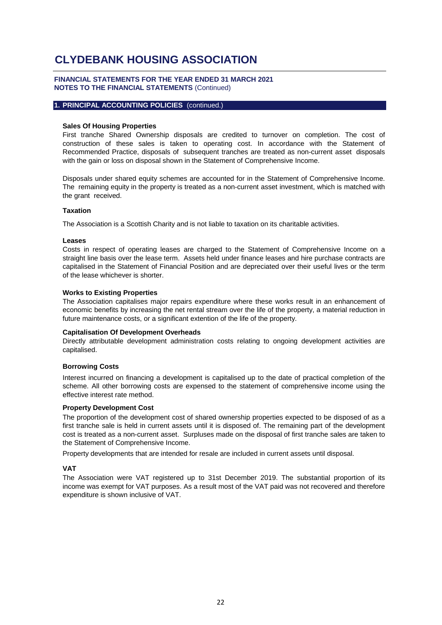#### **FINANCIAL STATEMENTS FOR THE YEAR ENDED 31 MARCH 2021 NOTES TO THE FINANCIAL STATEMENTS** (Continued)

#### **1. PRINCIPAL ACCOUNTING POLICIES** (continued.)

#### **Sales Of Housing Properties**

First tranche Shared Ownership disposals are credited to turnover on completion. The cost of construction of these sales is taken to operating cost. In accordance with the Statement of Recommended Practice, disposals of subsequent tranches are treated as non-current asset disposals with the gain or loss on disposal shown in the Statement of Comprehensive Income.

Disposals under shared equity schemes are accounted for in the Statement of Comprehensive Income. The remaining equity in the property is treated as a non-current asset investment, which is matched with the grant received.

#### **Taxation**

The Association is a Scottish Charity and is not liable to taxation on its charitable activities.

#### **Leases**

Costs in respect of operating leases are charged to the Statement of Comprehensive Income on a straight line basis over the lease term. Assets held under finance leases and hire purchase contracts are capitalised in the Statement of Financial Position and are depreciated over their useful lives or the term of the lease whichever is shorter.

#### **Works to Existing Properties**

The Association capitalises major repairs expenditure where these works result in an enhancement of economic benefits by increasing the net rental stream over the life of the property, a material reduction in future maintenance costs, or a significant extention of the life of the property.

#### **Capitalisation Of Development Overheads**

Directly attributable development administration costs relating to ongoing development activities are capitalised.

#### **Borrowing Costs**

Interest incurred on financing a development is capitalised up to the date of practical completion of the scheme. All other borrowing costs are expensed to the statement of comprehensive income using the effective interest rate method.

#### **Property Development Cost**

The proportion of the development cost of shared ownership properties expected to be disposed of as a first tranche sale is held in current assets until it is disposed of. The remaining part of the development cost is treated as a non-current asset. Surpluses made on the disposal of first tranche sales are taken to the Statement of Comprehensive Income.

Property developments that are intended for resale are included in current assets until disposal.

#### **VAT**

The Association were VAT registered up to 31st December 2019. The substantial proportion of its income was exempt for VAT purposes. As a result most of the VAT paid was not recovered and therefore expenditure is shown inclusive of VAT.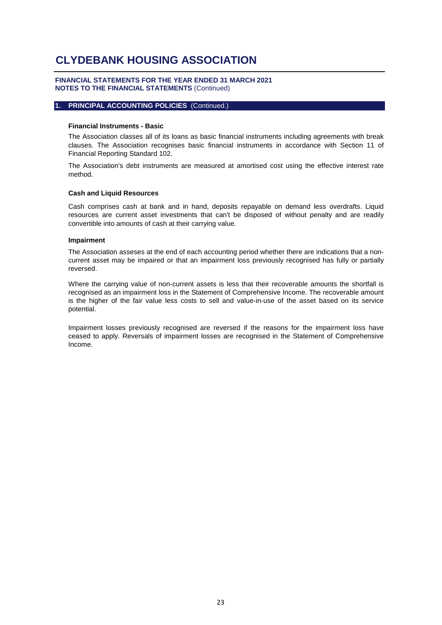#### **FINANCIAL STATEMENTS FOR THE YEAR ENDED 31 MARCH 2021 NOTES TO THE FINANCIAL STATEMENTS** (Continued)

#### **1. PRINCIPAL ACCOUNTING POLICIES** (Continued.)

#### **Financial Instruments - Basic**

The Association classes all of its loans as basic financial instruments including agreements with break clauses. The Association recognises basic financial instruments in accordance with Section 11 of Financial Reporting Standard 102.

The Association's debt instruments are measured at amortised cost using the effective interest rate method.

#### **Cash and Liquid Resources**

Cash comprises cash at bank and in hand, deposits repayable on demand less overdrafts. Liquid resources are current asset investments that can't be disposed of without penalty and are readily convertible into amounts of cash at their carrying value.

#### **Impairment**

The Association asseses at the end of each accounting period whether there are indications that a noncurrent asset may be impaired or that an impairment loss previously recognised has fully or partially reversed.

Where the carrying value of non-current assets is less that their recoverable amounts the shortfall is recognised as an impairment loss in the Statement of Comprehensive Income. The recoverable amount is the higher of the fair value less costs to sell and value-in-use of the asset based on its service potential.

Impairment losses previously recognised are reversed if the reasons for the impairment loss have ceased to apply. Reversals of impairment losses are recognised in the Statement of Comprehensive Income.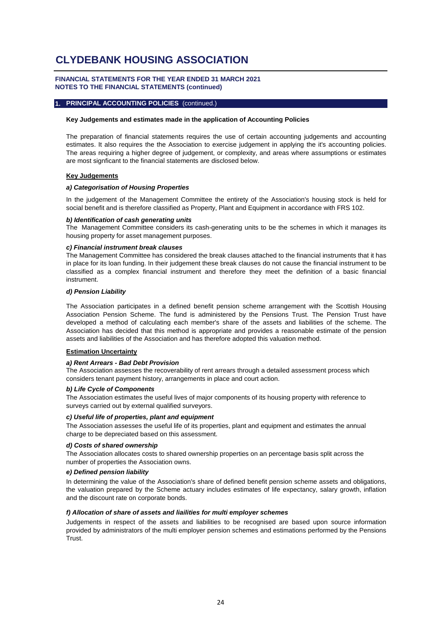#### **FINANCIAL STATEMENTS FOR THE YEAR ENDED 31 MARCH 2021 NOTES TO THE FINANCIAL STATEMENTS (continued)**

#### **1. PRINCIPAL ACCOUNTING POLICIES** (continued.)

#### **Key Judgements and estimates made in the application of Accounting Policies**

The preparation of financial statements requires the use of certain accounting judgements and accounting estimates. It also requires the the Association to exercise judgement in applying the it's accounting policies. The areas requiring a higher degree of judgement, or complexity, and areas where assumptions or estimates are most signficant to the financial statements are disclosed below.

#### **Key Judgements**

#### *a) Categorisation of Housing Properties*

In the judgement of the Management Committee the entirety of the Association's housing stock is held for social benefit and is therefore classified as Property, Plant and Equipment in accordance with FRS 102.

#### *b) Identification of cash generating units*

The Management Committee considers its cash-generating units to be the schemes in which it manages its housing property for asset management purposes.

#### *c) Financial instrument break clauses*

The Management Committee has considered the break clauses attached to the financial instruments that it has in place for its loan funding. In their judgement these break clauses do not cause the financial instrument to be classified as a complex financial instrument and therefore they meet the definition of a basic financial instrument.

#### *d) Pension Liability*

The Association participates in a defined benefit pension scheme arrangement with the Scottish Housing Association Pension Scheme. The fund is administered by the Pensions Trust. The Pension Trust have developed a method of calculating each member's share of the assets and liabilities of the scheme. The Association has decided that this method is appropriate and provides a reasonable estimate of the pension assets and liabilities of the Association and has therefore adopted this valuation method.

#### **Estimation Uncertainty**

#### *a) Rent Arrears - Bad Debt Provision*

The Association assesses the recoverability of rent arrears through a detailed assessment process which considers tenant payment history, arrangements in place and court action.

#### *b) Life Cycle of Components*

The Association estimates the useful lives of major components of its housing property with reference to surveys carried out by external qualified surveyors.

#### *c) Useful life of properties, plant and equipment*

The Association assesses the useful life of its properties, plant and equipment and estimates the annual charge to be depreciated based on this assessment.

#### *d) Costs of shared ownership*

The Association allocates costs to shared ownership properties on an percentage basis split across the number of properties the Association owns.

#### *e) Defined pension liability*

In determining the value of the Association's share of defined benefit pension scheme assets and obligations, the valuation prepared by the Scheme actuary includes estimates of life expectancy, salary growth, inflation and the discount rate on corporate bonds.

#### *f) Allocation of share of assets and liailities for multi employer schemes*

Judgements in respect of the assets and liabilities to be recognised are based upon source information provided by administrators of the multi employer pension schemes and estimations performed by the Pensions Trust.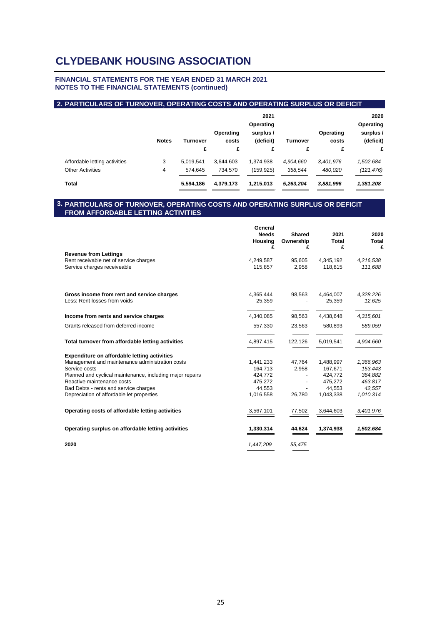#### **FINANCIAL STATEMENTS FOR THE YEAR ENDED 31 MARCH 2021 NOTES TO THE FINANCIAL STATEMENTS (continued)**

### **2. PARTICULARS OF TURNOVER, OPERATING COSTS AND OPERATING SURPLUS OR DEFICIT**

|                               | <b>Notes</b> | Turnover<br>£ | Operating<br>costs<br>£ | 2021<br>Operating<br>surplus /<br>(deficit)<br>£ | Turnover<br>£ | Operating<br>costs<br>£ | 2020<br>Operating<br>surplus /<br>(deficit)<br>£ |
|-------------------------------|--------------|---------------|-------------------------|--------------------------------------------------|---------------|-------------------------|--------------------------------------------------|
| Affordable letting activities | 3            | 5,019,541     | 3,644,603               | 1,374,938                                        | 4,904,660     | 3,401,976               | 1,502,684                                        |
| <b>Other Activities</b>       | 4            | 574.645       | 734,570                 | (159,925)                                        | 358,544       | 480,020                 | (121, 476)                                       |
| Total                         |              | 5,594,186     | 4,379,173               | 1,215,013                                        | 5,263,204     | 3,881,996               | 1,381,208                                        |

#### **3. PARTICULARS OF TURNOVER, OPERATING COSTS AND OPERATING SURPLUS OR DEFICIT FROM AFFORDABLE LETTING ACTIVITIES**

|                                                           | General<br><b>Needs</b><br>Housing<br>£ | Shared<br>Ownership<br>£ | 2021<br>Total<br>£ | 2020<br>Total<br>£ |
|-----------------------------------------------------------|-----------------------------------------|--------------------------|--------------------|--------------------|
| <b>Revenue from Lettings</b>                              |                                         |                          |                    |                    |
| Rent receivable net of service charges                    | 4,249,587                               | 95,605                   | 4,345,192          | 4,216,538          |
| Service charges receiveable                               | 115,857                                 | 2,958                    | 118.815            | 111,688            |
| Gross income from rent and service charges                | 4,365,444                               | 98,563                   | 4,464,007          | 4,328,226          |
| Less: Rent losses from voids                              | 25,359                                  |                          | 25,359             | 12,625             |
| Income from rents and service charges                     | 4,340,085                               | 98,563                   | 4,438,648          | 4,315,601          |
| Grants released from deferred income                      | 557,330                                 | 23,563                   | 580,893            | 589,059            |
| Total turnover from affordable letting activities         | 4,897,415                               | 122,126                  | 5,019,541          | 4,904,660          |
| Expenditure on affordable letting activities              |                                         |                          |                    |                    |
| Management and maintenance administration costs           | 1,441,233                               | 47,764                   | 1,488,997          | 1,366,963          |
| Service costs                                             | 164,713                                 | 2,958                    | 167,671            | 153,443            |
| Planned and cyclical maintenance, including major repairs | 424,772                                 |                          | 424,772            | 364,882            |
| Reactive maintenance costs                                | 475,272                                 |                          | 475,272            | 463,817            |
| Bad Debts - rents and service charges                     | 44,553                                  |                          | 44,553             | 42,557             |
| Depreciation of affordable let properties                 | 1,016,558                               | 26,780                   | 1,043,338          | 1,010,314          |
| Operating costs of affordable letting activities          | 3,567,101                               | 77,502                   | 3,644,603          | 3,401,976          |
| Operating surplus on affordable letting activities        | 1,330,314                               | 44,624                   | 1,374,938          | 1,502,684          |
| 2020                                                      | 1,447,209                               | 55,475                   |                    |                    |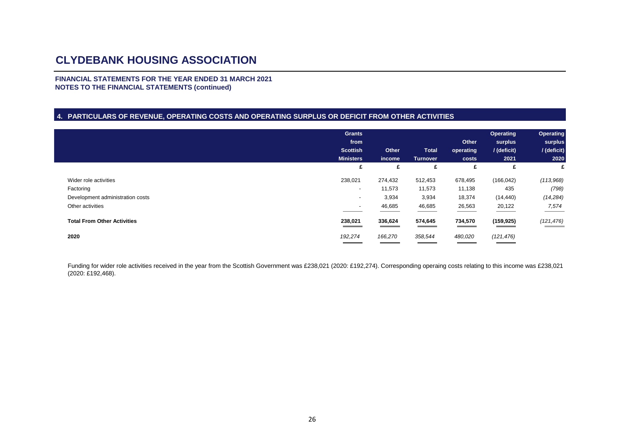**FINANCIAL STATEMENTS FOR THE YEAR ENDED 31 MARCH 2021 NOTES TO THE FINANCIAL STATEMENTS (continued)**

#### **4. PARTICULARS OF REVENUE, OPERATING COSTS AND OPERATING SURPLUS OR DEFICIT FROM OTHER ACTIVITIES**

|                                    | <b>Grants</b><br>from<br><b>Scottish</b><br><b>Ministers</b> | Other       | <b>Total</b>         | Other<br>operating | Operating<br>surplus<br>/ (deficit) | <b>Operating</b><br>surplus<br>/ (deficit) |
|------------------------------------|--------------------------------------------------------------|-------------|----------------------|--------------------|-------------------------------------|--------------------------------------------|
|                                    | £                                                            | income<br>£ | <b>Turnover</b><br>£ | costs<br>£         | 2021<br>£                           | 2020<br>£                                  |
| Wider role activities              | 238,021                                                      | 274,432     | 512,453              | 678,495            | (166, 042)                          | (113,968)                                  |
| Factoring                          | $\overline{\phantom{a}}$                                     | 11,573      | 11,573               | 11,138             | 435                                 | (798)                                      |
| Development administration costs   | $\overline{\phantom{a}}$                                     | 3,934       | 3,934                | 18,374             | (14, 440)                           | (14, 284)                                  |
| Other activities                   | $\overline{\phantom{a}}$                                     | 46,685      | 46,685               | 26,563             | 20,122                              | 7,574                                      |
| <b>Total From Other Activities</b> | 238,021                                                      | 336,624     | 574,645              | 734,570            | (159, 925)                          | (121, 476)                                 |
| 2020                               | 192,274                                                      | 166,270     | 358,544              | 480,020            | (121, 476)                          |                                            |

Funding for wider role activities received in the year from the Scottish Government was £238,021 (2020: £192,274). Corresponding operaing costs relating to this income was £238,021 (2020: £192,468).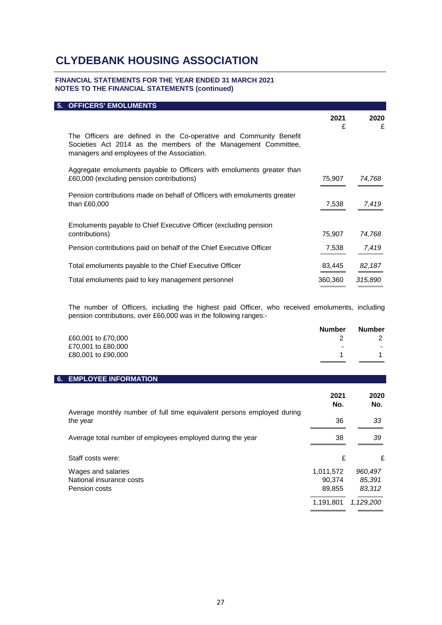### **FINANCIAL STATEMENTS FOR THE YEAR ENDED 31 MARCH 2021 NOTES TO THE FINANCIAL STATEMENTS (continued)**

| <b>5. OFFICERS' EMOLUMENTS</b>                                                                                                                                                     |           |           |
|------------------------------------------------------------------------------------------------------------------------------------------------------------------------------------|-----------|-----------|
|                                                                                                                                                                                    | 2021<br>£ | 2020<br>£ |
| The Officers are defined in the Co-operative and Community Benefit<br>Societies Act 2014 as the members of the Management Committee,<br>managers and employees of the Association. |           |           |
| Aggregate emoluments payable to Officers with emoluments greater than<br>£60,000 (excluding pension contributions)                                                                 | 75,907    | 74,768    |
| Pension contributions made on behalf of Officers with emoluments greater<br>than £60,000                                                                                           | 7,538     | 7,419     |
| Emoluments payable to Chief Executive Officer (excluding pension<br>contributions)                                                                                                 | 75,907    | 74,768    |
| Pension contributions paid on behalf of the Chief Executive Officer                                                                                                                | 7,538     | 7,419     |
| Total emoluments payable to the Chief Executive Officer                                                                                                                            | 83,445    | 82,187    |
| Total emoluments paid to key management personnel                                                                                                                                  | 360,360   | 315,890   |

The number of Officers, including the highest paid Officer, who received emoluments, including pension contributions, over £60,000 was in the following ranges:-

|                    | <b>Number</b>            | <b>Number</b> |
|--------------------|--------------------------|---------------|
| £60,001 to £70,000 |                          |               |
| £70,001 to £80,000 | $\overline{\phantom{a}}$ | $\sim$        |
| £80,001 to £90,000 |                          |               |

### **6. EMPLOYEE INFORMATION**

|                                                                                    | 2021<br>No.                                | 2020<br>No.                              |
|------------------------------------------------------------------------------------|--------------------------------------------|------------------------------------------|
| Average monthly number of full time equivalent persons employed during<br>the year | 36                                         | 33                                       |
| Average total number of employees employed during the year                         | 38                                         | 39                                       |
| Staff costs were:                                                                  | £                                          | £                                        |
| Wages and salaries<br>National insurance costs<br>Pension costs                    | 1,011,572<br>90.374<br>89,855<br>1,191,801 | 960,497<br>85.391<br>83,312<br>1,129,200 |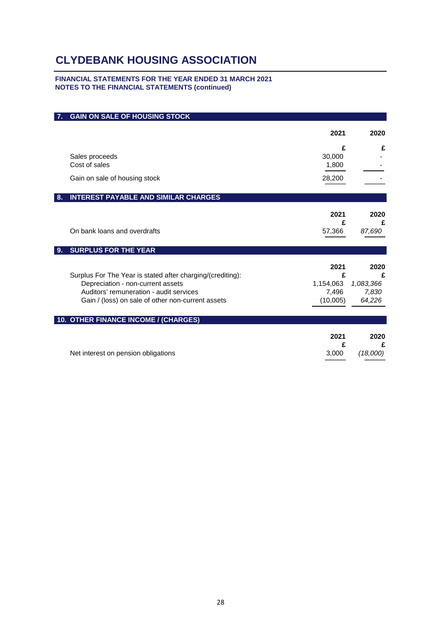### **FINANCIAL STATEMENTS FOR THE YEAR ENDED 31 MARCH 2021 NOTES TO THE FINANCIAL STATEMENTS (continued)**

|    | <b>GAIN ON SALE OF HOUSING STOCK</b>                                                                                                                                                            |                                             |                                           |
|----|-------------------------------------------------------------------------------------------------------------------------------------------------------------------------------------------------|---------------------------------------------|-------------------------------------------|
|    |                                                                                                                                                                                                 | 2021                                        | 2020                                      |
|    |                                                                                                                                                                                                 | £                                           | £                                         |
|    | Sales proceeds<br>Cost of sales                                                                                                                                                                 | 30,000<br>1,800                             |                                           |
|    | Gain on sale of housing stock                                                                                                                                                                   | 28,200                                      |                                           |
| 8. | <b>INTEREST PAYABLE AND SIMILAR CHARGES</b>                                                                                                                                                     |                                             |                                           |
|    |                                                                                                                                                                                                 | 2021                                        | 2020                                      |
|    | On bank loans and overdrafts                                                                                                                                                                    | £<br>57,366                                 | £<br>87,690                               |
| 9. | <b>SURPLUS FOR THE YEAR</b>                                                                                                                                                                     |                                             |                                           |
|    | Surplus For The Year is stated after charging/(crediting):<br>Depreciation - non-current assets<br>Auditors' remuneration - audit services<br>Gain / (loss) on sale of other non-current assets | 2021<br>£<br>1,154,063<br>7,496<br>(10,005) | 2020<br>£<br>1,083,366<br>7,830<br>64,226 |
|    | 10. OTHER FINANCE INCOME / (CHARGES)                                                                                                                                                            |                                             |                                           |
|    |                                                                                                                                                                                                 | 2021<br>£                                   | 2020<br>£                                 |
|    | Net interest on pension obligations                                                                                                                                                             | 3,000                                       | (18,000)                                  |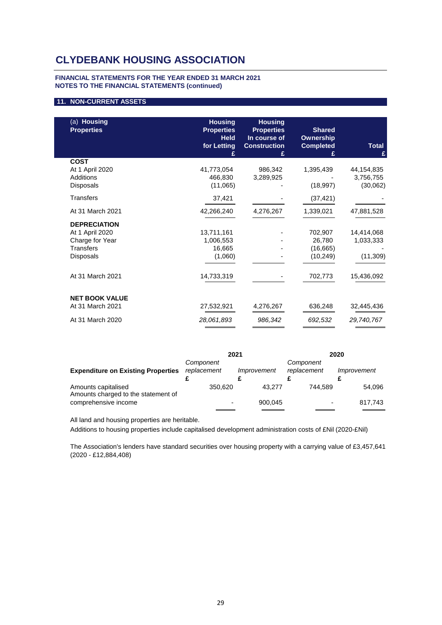#### **FINANCIAL STATEMENTS FOR THE YEAR ENDED 31 MARCH 2021 NOTES TO THE FINANCIAL STATEMENTS (continued)**

#### **11. NON-CURRENT ASSETS**

| (a) Housing<br><b>Properties</b> | <b>Housing</b><br><b>Properties</b><br><b>Held</b><br>for Letting<br>£ | <b>Housing</b><br><b>Properties</b><br>In course of<br><b>Construction</b><br>£ | <b>Shared</b><br><b>Ownership</b><br><b>Completed</b><br>£ | <b>Total</b><br>£     |
|----------------------------------|------------------------------------------------------------------------|---------------------------------------------------------------------------------|------------------------------------------------------------|-----------------------|
| <b>COST</b>                      |                                                                        |                                                                                 |                                                            |                       |
| At 1 April 2020                  | 41,773,054                                                             | 986,342                                                                         | 1,395,439                                                  | 44,154,835            |
| Additions<br><b>Disposals</b>    | 466,830<br>(11,065)                                                    | 3,289,925                                                                       | (18, 997)                                                  | 3,756,755<br>(30,062) |
|                                  |                                                                        |                                                                                 |                                                            |                       |
| <b>Transfers</b>                 | 37,421                                                                 |                                                                                 | (37, 421)                                                  |                       |
| At 31 March 2021                 | 42,266,240                                                             | 4,276,267                                                                       | 1,339,021                                                  | 47,881,528            |
| <b>DEPRECIATION</b>              |                                                                        |                                                                                 |                                                            |                       |
| At 1 April 2020                  | 13,711,161                                                             |                                                                                 | 702,907                                                    | 14,414,068            |
| Charge for Year                  | 1,006,553                                                              |                                                                                 | 26,780                                                     | 1,033,333             |
| <b>Transfers</b>                 | 16,665                                                                 |                                                                                 | (16,665)                                                   |                       |
| <b>Disposals</b>                 | (1,060)                                                                |                                                                                 | (10, 249)                                                  | (11, 309)             |
| At 31 March 2021                 | 14,733,319                                                             |                                                                                 | 702,773                                                    | 15,436,092            |
| <b>NET BOOK VALUE</b>            |                                                                        |                                                                                 |                                                            |                       |
| At 31 March 2021                 | 27,532,921                                                             | 4,276,267                                                                       | 636,248                                                    | 32,445,436            |
| At 31 March 2020                 | 28,061,893                                                             | 986,342                                                                         | 692,532                                                    | 29,740,767            |
|                                  |                                                                        |                                                                                 |                                                            |                       |

|                                                            | 2021                     |             |                          | 2020        |
|------------------------------------------------------------|--------------------------|-------------|--------------------------|-------------|
| <b>Expenditure on Existing Properties</b>                  | Component<br>replacement | Improvement | Component<br>replacement | Improvement |
| Amounts capitalised<br>Amounts charged to the statement of | 350.620                  | 43.277      | 744.589                  | 54,096      |
| comprehensive income                                       | $\overline{\phantom{0}}$ | 900.045     |                          | 817,743     |

All land and housing properties are heritable.

Additions to housing properties include capitalised development administration costs of £Nil (2020-£Nil)

The Association's lenders have standard securities over housing property with a carrying value of £3,457,641 (2020 - £12,884,408)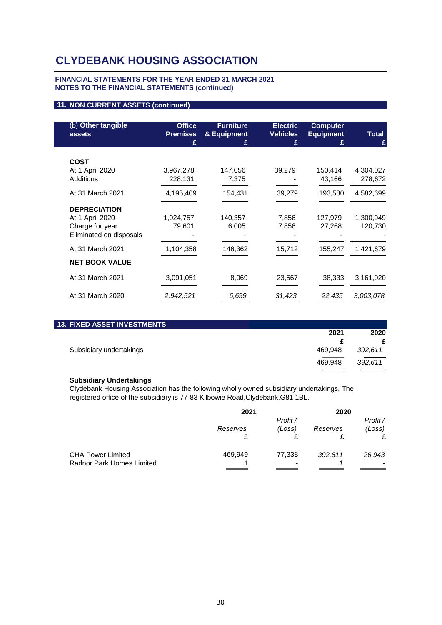#### **FINANCIAL STATEMENTS FOR THE YEAR ENDED 31 MARCH 2021 NOTES TO THE FINANCIAL STATEMENTS (continued)**

### **11. NON CURRENT ASSETS (continued)**

| (b) Other tangible<br>assets | <b>Office</b><br><b>Premises</b><br>£ | <b>Furniture</b><br>& Equipment<br>£ | <b>Electric</b><br><b>Vehicles</b><br>£ | <b>Computer</b><br><b>Equipment</b><br>£ | <b>Total</b><br>£ |
|------------------------------|---------------------------------------|--------------------------------------|-----------------------------------------|------------------------------------------|-------------------|
|                              |                                       |                                      |                                         |                                          |                   |
| <b>COST</b>                  |                                       |                                      |                                         |                                          |                   |
| At 1 April 2020              | 3,967,278                             | 147,056                              | 39,279                                  | 150,414                                  | 4,304,027         |
| <b>Additions</b>             | 228,131                               | 7,375                                |                                         | 43,166                                   | 278,672           |
|                              |                                       |                                      |                                         |                                          |                   |
| At 31 March 2021             | 4,195,409                             | 154,431                              | 39,279                                  | 193,580                                  | 4,582,699         |
| <b>DEPRECIATION</b>          |                                       |                                      |                                         |                                          |                   |
|                              |                                       |                                      |                                         |                                          |                   |
| At 1 April 2020              | 1,024,757                             | 140,357                              | 7,856                                   | 127,979                                  | 1,300,949         |
| Charge for year              | 79,601                                | 6,005                                | 7,856                                   | 27,268                                   | 120,730           |
| Eliminated on disposals      |                                       |                                      |                                         |                                          |                   |
| At 31 March 2021             | 1,104,358                             | 146,362                              | 15,712                                  | 155,247                                  | 1,421,679         |
|                              |                                       |                                      |                                         |                                          |                   |
| <b>NET BOOK VALUE</b>        |                                       |                                      |                                         |                                          |                   |
| At 31 March 2021             | 3,091,051                             | 8,069                                | 23,567                                  | 38,333                                   | 3,161,020         |
|                              |                                       |                                      |                                         |                                          |                   |
| At 31 March 2020             | 2,942,521                             | 6,699                                | 31,423                                  | 22,435                                   | 3,003,078         |
|                              |                                       |                                      |                                         |                                          |                   |

| <b>13. FIXED ASSET INVESTMENTS</b> |         |         |
|------------------------------------|---------|---------|
|                                    | 2021    | 2020    |
|                                    |         |         |
| Subsidiary undertakings            | 469.948 | 392.611 |
|                                    | 469.948 | 392.611 |

#### **Subsidiary Undertakings**

Clydebank Housing Association has the following wholly owned subsidiary undertakings. The registered office of the subsidiary is 77-83 Kilbowie Road,Clydebank,G81 1BL.

|                           | 2021     |          | 2020     |          |
|---------------------------|----------|----------|----------|----------|
|                           |          | Profit / |          | Profit / |
|                           | Reserves | (Loss)   | Reserves | (Loss)   |
|                           |          |          |          | £        |
| <b>CHA Power Limited</b>  | 469,949  | 77,338   | 392,611  | 26,943   |
| Radnor Park Homes Limited |          |          |          |          |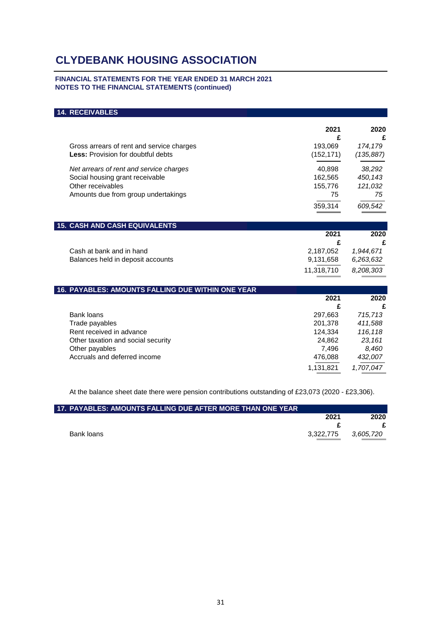#### **FINANCIAL STATEMENTS FOR THE YEAR ENDED 31 MARCH 2021 NOTES TO THE FINANCIAL STATEMENTS (continued)**

## **14. RECEIVABLES**

|                                                                | 2021<br>£  | 2020<br>£ |
|----------------------------------------------------------------|------------|-----------|
| Gross arrears of rent and service charges                      | 193,069    | 174,179   |
| <b>Less:</b> Provision for doubtful debts                      | (152, 171) | (135,887) |
| Net arrears of rent and service charges                        | 40,898     | 38,292    |
| Social housing grant receivable                                | 162,565    | 450,143   |
| Other receivables                                              | 155,776    | 121,032   |
| Amounts due from group undertakings                            | 75         | 75        |
|                                                                | 359,314    | 609,542   |
| <b>15. CASH AND CASH EQUIVALENTS</b>                           |            |           |
|                                                                | 2021       | 2020      |
|                                                                | £          | £         |
| Cash at bank and in hand                                       | 2,187,052  | 1,944,671 |
| Balances held in deposit accounts                              | 9,131,658  | 6,263,632 |
|                                                                | 11,318,710 | 8,208,303 |
| <b><i>AC DAVADLES, AMOUNTS EALLING DUE WITHIN ONE VEAD</i></b> |            |           |

| <b>16. PAYABLES: AMOUNTS FALLING DUE WITHIN ONE YEAR</b> |           |           |
|----------------------------------------------------------|-----------|-----------|
|                                                          | 2021      | 2020      |
|                                                          | £         | £         |
| Bank loans                                               | 297,663   | 715,713   |
| Trade payables                                           | 201.378   | 411,588   |
| Rent received in advance                                 | 124,334   | 116,118   |
| Other taxation and social security                       | 24.862    | 23.161    |
| Other payables                                           | 7.496     | 8,460     |
| Accruals and deferred income                             | 476,088   | 432,007   |
|                                                          | 1,131,821 | 1,707,047 |

At the balance sheet date there were pension contributions outstanding of £23,073 (2020 - £23,306).

| <b>L17. PAYABLES: AMOUNTS FALLING DUE AFTER MORE THAN ONE YEAR</b> |           |           |
|--------------------------------------------------------------------|-----------|-----------|
|                                                                    | 2021      | 2020      |
|                                                                    |           |           |
| Bank loans                                                         | 3.322.775 | 3,605,720 |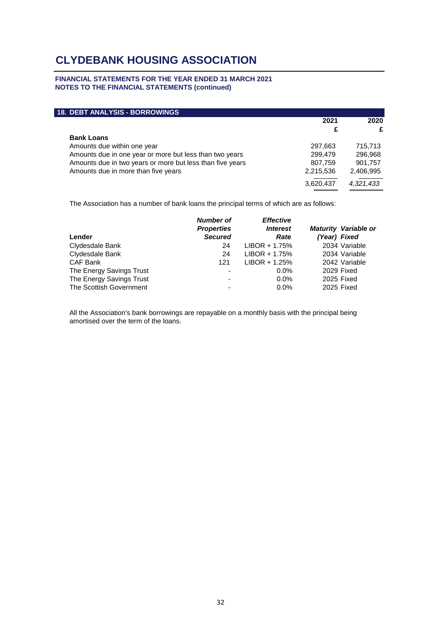#### **FINANCIAL STATEMENTS FOR THE YEAR ENDED 31 MARCH 2021 NOTES TO THE FINANCIAL STATEMENTS (continued)**

| <b>18. DEBT ANALYSIS - BORROWINGS</b>                     |           |           |
|-----------------------------------------------------------|-----------|-----------|
|                                                           | 2021      | 2020      |
|                                                           | £         | £         |
| <b>Bank Loans</b>                                         |           |           |
| Amounts due within one year                               | 297,663   | 715.713   |
| Amounts due in one year or more but less than two years   | 299,479   | 296,968   |
| Amounts due in two years or more but less than five years | 807,759   | 901,757   |
| Amounts due in more than five years                       | 2,215,536 | 2,406,995 |
|                                                           | 3,620,437 | 4,321,433 |

The Association has a number of bank loans the principal terms of which are as follows:

| Lender                   | <b>Number of</b><br><b>Properties</b><br><b>Secured</b> | <b>Effective</b><br><b>Interest</b><br>Rate | <b>Maturity Variable or</b><br>(Year) Fixed |
|--------------------------|---------------------------------------------------------|---------------------------------------------|---------------------------------------------|
| Clydesdale Bank          | 24                                                      | $LIBOR + 1.75%$                             | 2034 Variable                               |
| Clydesdale Bank          | 24                                                      | $LIBOR + 1.75%$                             | 2034 Variable                               |
| CAF Bank                 | 121                                                     | $LIBOR + 1.25%$                             | 2042 Variable                               |
| The Energy Savings Trust | $\overline{\phantom{a}}$                                | $0.0\%$                                     | 2029 Fixed                                  |
| The Energy Savings Trust | $\overline{\phantom{a}}$                                | $0.0\%$                                     | 2025 Fixed                                  |
| The Scottish Government  | $\overline{\phantom{a}}$                                | $0.0\%$                                     | 2025 Fixed                                  |

All the Association's bank borrowings are repayable on a monthly basis with the principal being amortised over the term of the loans.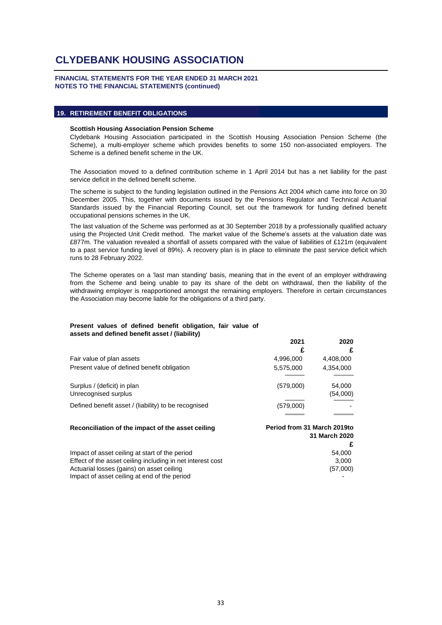#### **FINANCIAL STATEMENTS FOR THE YEAR ENDED 31 MARCH 2021 NOTES TO THE FINANCIAL STATEMENTS (continued)**

#### **19. RETIREMENT BENEFIT OBLIGATIONS**

#### **Scottish Housing Association Pension Scheme**

Clydebank Housing Association participated in the Scottish Housing Association Pension Scheme (the Scheme), a multi-employer scheme which provides benefits to some 150 non-associated employers. The Scheme is a defined benefit scheme in the UK.

The Association moved to a defined contribution scheme in 1 April 2014 but has a net liability for the past service deficit in the defined benefit scheme.

The scheme is subject to the funding legislation outlined in the Pensions Act 2004 which came into force on 30 December 2005. This, together with documents issued by the Pensions Regulator and Technical Actuarial Standards issued by the Financial Reporting Council, set out the framework for funding defined benefit occupational pensions schemes in the UK.

The last valuation of the Scheme was performed as at 30 September 2018 by a professionally qualified actuary using the Projected Unit Credit method. The market value of the Scheme's assets at the valuation date was £877m. The valuation revealed a shortfall of assets compared with the value of liabilities of £121m (equivalent to a past service funding level of 89%). A recovery plan is in place to eliminate the past service deficit which runs to 28 February 2022.

The Scheme operates on a 'last man standing' basis, meaning that in the event of an employer withdrawing from the Scheme and being unable to pay its share of the debt on withdrawal, then the liability of the withdrawing employer is reapportioned amongst the remaining employers. Therefore in certain circumstances the Association may become liable for the obligations of a third party.

#### **Present values of defined benefit obligation, fair value of assets and defined benefit asset / (liability)**

|                                                      | 2021                        | 2020               |
|------------------------------------------------------|-----------------------------|--------------------|
|                                                      | £                           |                    |
| Fair value of plan assets                            | 4,996,000                   | 4,408,000          |
| Present value of defined benefit obligation          | 5,575,000                   | 4,354,000          |
| Surplus / (deficit) in plan<br>Unrecognised surplus  | (579,000)                   | 54,000<br>(54,000) |
| Defined benefit asset / (liability) to be recognised | (579,000)                   |                    |
|                                                      |                             |                    |
| Reconciliation of the impact of the asset ceiling    | Period from 31 March 2019to |                    |

**£**

**31 March 2020**

Impact of asset ceiling at start of the period 54,000 Effect of the asset ceiling including in net interest cost 3,000 Actuarial losses (gains) on asset ceiling (57,000) Impact of asset ceiling at end of the period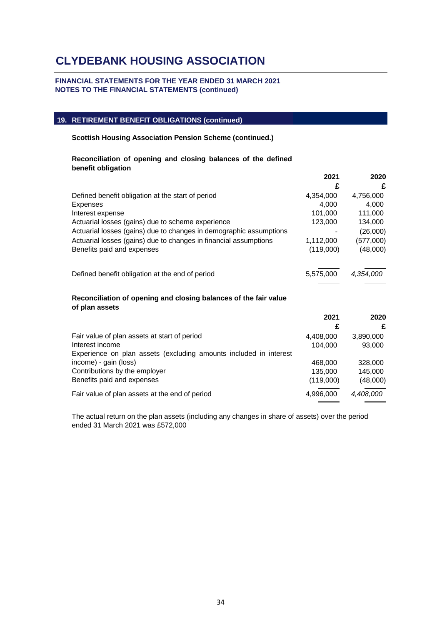### **FINANCIAL STATEMENTS FOR THE YEAR ENDED 31 MARCH 2021 NOTES TO THE FINANCIAL STATEMENTS (continued)**

## **19. RETIREMENT BENEFIT OBLIGATIONS (continued)**

**Scottish Housing Association Pension Scheme (continued.)**

### **Reconciliation of opening and closing balances of the defined benefit obligation**

|                                                                    | 2021<br>£ | 2020<br>£ |
|--------------------------------------------------------------------|-----------|-----------|
| Defined benefit obligation at the start of period                  | 4,354,000 | 4,756,000 |
| <b>Expenses</b>                                                    | 4.000     | 4.000     |
| Interest expense                                                   | 101,000   | 111,000   |
| Actuarial losses (gains) due to scheme experience                  | 123,000   | 134,000   |
| Actuarial losses (gains) due to changes in demographic assumptions |           | (26,000)  |
| Actuarial losses (gains) due to changes in financial assumptions   | 1,112,000 | (577,000) |
| Benefits paid and expenses                                         | (119,000) | (48,000)  |
| Defined benefit obligation at the end of period                    | 5,575,000 | 4.354.000 |

### **Reconciliation of opening and closing balances of the fair value of plan assets**

|                                                                   | 2021<br>£ | 2020<br>£ |
|-------------------------------------------------------------------|-----------|-----------|
| Fair value of plan assets at start of period                      | 4,408,000 | 3,890,000 |
| Interest income                                                   | 104.000   | 93,000    |
| Experience on plan assets (excluding amounts included in interest |           |           |
| income) - gain (loss)                                             | 468,000   | 328,000   |
| Contributions by the employer                                     | 135,000   | 145,000   |
| Benefits paid and expenses                                        | (119,000) | (48,000)  |
| Fair value of plan assets at the end of period                    | 4,996,000 | 4,408,000 |

The actual return on the plan assets (including any changes in share of assets) over the period ended 31 March 2021 was £572,000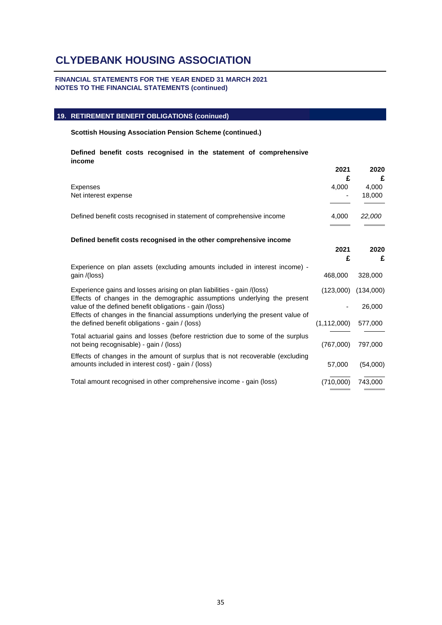### **FINANCIAL STATEMENTS FOR THE YEAR ENDED 31 MARCH 2021 NOTES TO THE FINANCIAL STATEMENTS (continued)**

### **19. RETIREMENT BENEFIT OBLIGATIONS (coninued)**

#### **Scottish Housing Association Pension Scheme (continued.)**

**Defined benefit costs recognised in the statement of comprehensive income**

|                                                                                                                                                                                                                                                                                                                                                     | 2021<br>£                  | 2020<br>£                      |
|-----------------------------------------------------------------------------------------------------------------------------------------------------------------------------------------------------------------------------------------------------------------------------------------------------------------------------------------------------|----------------------------|--------------------------------|
| Expenses<br>Net interest expense                                                                                                                                                                                                                                                                                                                    | 4,000                      | 4,000<br>18,000                |
| Defined benefit costs recognised in statement of comprehensive income                                                                                                                                                                                                                                                                               | 4,000                      | 22,000                         |
| Defined benefit costs recognised in the other comprehensive income                                                                                                                                                                                                                                                                                  | 2021<br>£                  | 2020<br>£                      |
| Experience on plan assets (excluding amounts included in interest income) -<br>gain /(loss)                                                                                                                                                                                                                                                         | 468,000                    | 328,000                        |
| Experience gains and losses arising on plan liabilities - gain /(loss)<br>Effects of changes in the demographic assumptions underlying the present<br>value of the defined benefit obligations - gain /(loss)<br>Effects of changes in the financial assumptions underlying the present value of<br>the defined benefit obligations - gain / (loss) | (123,000)<br>(1, 112, 000) | (134,000)<br>26,000<br>577,000 |
| Total actuarial gains and losses (before restriction due to some of the surplus<br>not being recognisable) - gain / (loss)                                                                                                                                                                                                                          | (767,000)                  | 797,000                        |
| Effects of changes in the amount of surplus that is not recoverable (excluding<br>amounts included in interest cost) - gain / (loss)                                                                                                                                                                                                                | 57,000                     | (54,000)                       |
| Total amount recognised in other comprehensive income - gain (loss)                                                                                                                                                                                                                                                                                 | (710,000)                  | 743.000                        |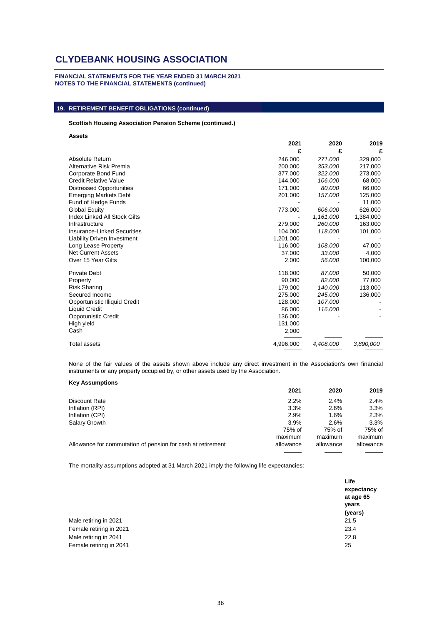**FINANCIAL STATEMENTS FOR THE YEAR ENDED 31 MARCH 2021 NOTES TO THE FINANCIAL STATEMENTS (continued)**

## **19. RETIREMENT BENEFIT OBLIGATIONS (continued)**

#### **Scottish Housing Association Pension Scheme (continued.)**

**Assets**

|                                    | 2021      | 2020      | 2019      |
|------------------------------------|-----------|-----------|-----------|
|                                    | £         | £         | £         |
| Absolute Return                    | 246,000   | 271,000   | 329,000   |
| Alternative Risk Premia            | 200,000   | 353,000   | 217,000   |
| Corporate Bond Fund                | 377,000   | 322,000   | 273,000   |
| <b>Credit Relative Value</b>       | 144,000   | 106,000   | 68,000    |
| <b>Distressed Opportunities</b>    | 171,000   | 80,000    | 66,000    |
| <b>Emerging Markets Debt</b>       | 201,000   | 157,000   | 125,000   |
| Fund of Hedge Funds                |           |           | 11,000    |
| <b>Global Equity</b>               | 773,000   | 606,000   | 626,000   |
| Index Linked All Stock Gilts       |           | 1,161,000 | 1,384,000 |
| Infrastructure                     | 279,000   | 260,000   | 163,000   |
| Insurance-Linked Securities        | 104,000   | 118,000   | 101,000   |
| <b>Liability Driven Investment</b> | 1,201,000 |           |           |
| Long Lease Property                | 116,000   | 108,000   | 47,000    |
| <b>Net Current Assets</b>          | 37,000    | 33,000    | 4,000     |
| Over 15 Year Gilts                 | 2,000     | 56,000    | 100,000   |
| <b>Private Debt</b>                | 118,000   | 87,000    | 50,000    |
| Property                           | 90,000    | 82,000    | 77,000    |
| <b>Risk Sharing</b>                | 179,000   | 140,000   | 113,000   |
| Secured Income                     | 275,000   | 245,000   | 136,000   |
| Opportunistic Illiquid Credit      | 128,000   | 107,000   |           |
| <b>Liquid Credit</b>               | 86,000    | 116,000   |           |
| <b>Oppotunistic Credit</b>         | 136,000   |           |           |
| High yield                         | 131,000   |           |           |
| Cash                               | 2,000     |           |           |
| Total assets                       | 4,996,000 | 4,408,000 | 3,890,000 |

None of the fair values of the assets shown above include any direct investment in the Association's own financial instruments or any property occupied by, or other assets used by the Association.

#### **Key Assumptions**

|                                                             | 2021      | 2020      | 2019      |
|-------------------------------------------------------------|-----------|-----------|-----------|
| Discount Rate                                               | 2.2%      | 2.4%      | 2.4%      |
| Inflation (RPI)                                             | 3.3%      | 2.6%      | 3.3%      |
| Inflation (CPI)                                             | 2.9%      | 1.6%      | 2.3%      |
| Salary Growth                                               | $3.9\%$   | 2.6%      | 3.3%      |
|                                                             | 75% of    | 75% of    | 75% of    |
|                                                             | maximum   | maximum   | maximum   |
| Allowance for commutation of pension for cash at retirement | allowance | allowance | allowance |
|                                                             |           |           |           |

The mortality assumptions adopted at 31 March 2021 imply the following life expectancies:

|                         | Life<br>expectancy<br>at age 65<br>years<br>(years) |
|-------------------------|-----------------------------------------------------|
| Male retiring in 2021   | 21.5                                                |
| Female retiring in 2021 | 23.4                                                |
| Male retiring in 2041   | 22.8                                                |
| Female retiring in 2041 | 25                                                  |
|                         |                                                     |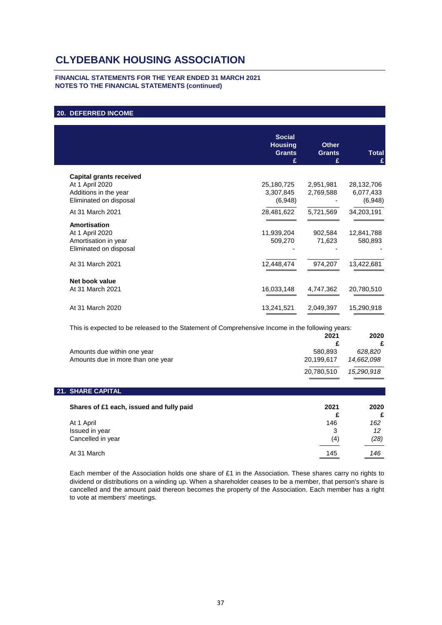#### **FINANCIAL STATEMENTS FOR THE YEAR ENDED 31 MARCH 2021 NOTES TO THE FINANCIAL STATEMENTS (continued)**

### **20. DEFERRED INCOME**

|                                | <b>Social</b><br><b>Housing</b><br><b>Grants</b><br>£ | <b>Other</b><br><b>Grants</b><br>£ | <b>Total</b><br>£ |
|--------------------------------|-------------------------------------------------------|------------------------------------|-------------------|
|                                |                                                       |                                    |                   |
| <b>Capital grants received</b> |                                                       |                                    |                   |
| At 1 April 2020                | 25,180,725                                            | 2,951,981                          | 28,132,706        |
| Additions in the year          | 3,307,845                                             | 2,769,588                          | 6,077,433         |
| Eliminated on disposal         | (6,948)                                               |                                    | (6,948)           |
| At 31 March 2021               | 28,481,622                                            | 5,721,569                          | 34,203,191        |
| <b>Amortisation</b>            |                                                       |                                    |                   |
| At 1 April 2020                | 11,939,204                                            | 902,584                            | 12,841,788        |
| Amortisation in year           | 509,270                                               | 71,623                             | 580,893           |
| Eliminated on disposal         |                                                       |                                    |                   |
| At 31 March 2021               | 12,448,474                                            | 974,207                            | 13,422,681        |
|                                |                                                       |                                    |                   |
| Net book value                 |                                                       |                                    |                   |
| At 31 March 2021               | 16,033,148                                            | 4,747,362                          | 20,780,510        |
|                                |                                                       |                                    |                   |
| At 31 March 2020               | 13,241,521                                            | 2,049,397                          | 15,290,918        |
|                                |                                                       |                                    |                   |

This is expected to be released to the Statement of Comprehensive Income in the following years:

|                                   | 2021       | 2020       |
|-----------------------------------|------------|------------|
|                                   |            |            |
| Amounts due within one year       | 580.893    | 628.820    |
| Amounts due in more than one year | 20.199.617 | 14.662.098 |
|                                   | 20.780.510 | 15.290.918 |

#### **21. SHARE CAPITAL**

| Shares of £1 each, issued and fully paid          | 2021            | 2020<br>£         |
|---------------------------------------------------|-----------------|-------------------|
| At 1 April<br>Issued in year<br>Cancelled in year | 146<br>3<br>(4) | 162<br>12<br>(28) |
| At 31 March                                       | 145             | 146<br>___        |

Each member of the Association holds one share of £1 in the Association. These shares carry no rights to dividend or distributions on a winding up. When a shareholder ceases to be a member, that person's share is cancelled and the amount paid thereon becomes the property of the Association. Each member has a right to vote at members' meetings.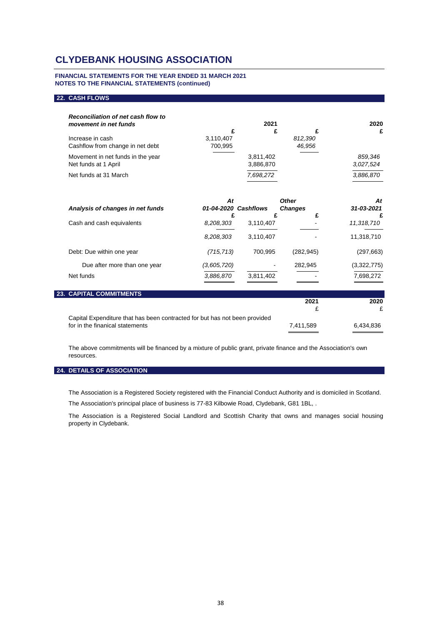#### **FINANCIAL STATEMENTS FOR THE YEAR ENDED 31 MARCH 2021 NOTES TO THE FINANCIAL STATEMENTS (continued)**

#### **22. CASH FLOWS**

| Reconciliation of net cash flow to<br>movement in net funds |                      | 2021                   |                   | 2020                 |
|-------------------------------------------------------------|----------------------|------------------------|-------------------|----------------------|
|                                                             |                      |                        |                   | £                    |
| Increase in cash<br>Cashflow from change in net debt        | 3,110,407<br>700.995 |                        | 812.390<br>46.956 |                      |
| Movement in net funds in the year<br>Net funds at 1 April   |                      | 3,811,402<br>3,886,870 |                   | 859.346<br>3,027,524 |
| Net funds at 31 March                                       |                      | 7,698,272              |                   | 3,886,870            |

| Analysis of changes in net funds | At          | 01-04-2020 Cashflows | <b>Other</b><br><b>Changes</b><br>£ | At<br>31-03-2021<br>£ |
|----------------------------------|-------------|----------------------|-------------------------------------|-----------------------|
| Cash and cash equivalents        | 8,208,303   | 3,110,407            |                                     | 11,318,710            |
|                                  | 8,208,303   | 3,110,407            |                                     | 11,318,710            |
| Debt: Due within one year        | (715,713)   | 700,995              | (282, 945)                          | (297,663)             |
| Due after more than one year     | (3,605,720) |                      | 282,945                             | (3,322,775)           |
| Net funds                        | 3,886,870   | 3,811,402            |                                     | 7,698,272             |

| <b>23. CAPITAL COMMITMENTS</b>                                             |           |           |
|----------------------------------------------------------------------------|-----------|-----------|
|                                                                            | 2021      | 2020      |
|                                                                            |           |           |
| Capital Expenditure that has been contracted for but has not been provided |           |           |
| for in the finanical statements                                            | 7.411.589 | 6.434.836 |
|                                                                            |           |           |

The above commitments will be financed by a mixture of public grant, private finance and the Association's own resources.

#### **24. DETAILS OF ASSOCIATION**

The Association is a Registered Society registered with the Financial Conduct Authority and is domiciled in Scotland.

The Association's principal place of business is 77-83 Kilbowie Road, Clydebank, G81 1BL, .

The Association is a Registered Social Landlord and Scottish Charity that owns and manages social housing property in Clydebank.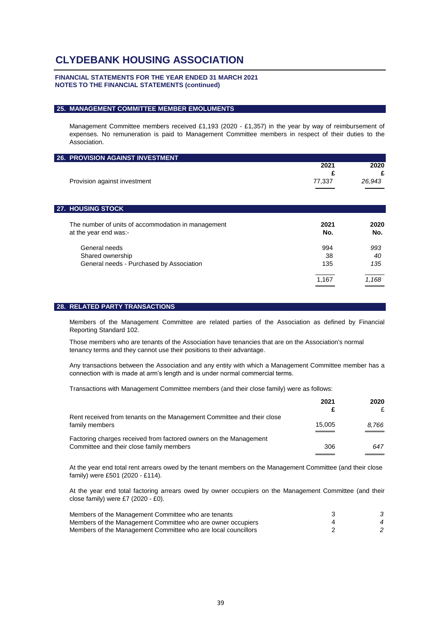#### **FINANCIAL STATEMENTS FOR THE YEAR ENDED 31 MARCH 2021 NOTES TO THE FINANCIAL STATEMENTS (continued)**

#### **25. MANAGEMENT COMMITTEE MEMBER EMOLUMENTS**

Management Committee members received £1,193 (2020 - £1,357) in the year by way of reimbursement of expenses. No remuneration is paid to Management Committee members in respect of their duties to the Association.

| 2021   | 2020   |
|--------|--------|
| £      | £      |
| 77,337 | 26,943 |
|        |        |
|        |        |
| 2021   | 2020   |
| No.    | No.    |
| 994    | 993    |
| 38     | 40     |
| 135    | 135    |
| 1,167  | 1,168  |
|        |        |

#### **28. RELATED PARTY TRANSACTIONS**

Members of the Management Committee are related parties of the Association as defined by Financial Reporting Standard 102.

Those members who are tenants of the Association have tenancies that are on the Association's normal tenancy terms and they cannot use their positions to their advantage.

Any transactions between the Association and any entity with which a Management Committee member has a connection with is made at arm's length and is under normal commercial terms.

Transactions with Management Committee members (and their close family) were as follows:

|                                                                        | 2021   | 2020  |
|------------------------------------------------------------------------|--------|-------|
|                                                                        |        | £     |
| Rent received from tenants on the Management Committee and their close |        |       |
| family members                                                         | 15.005 | 8.766 |
|                                                                        |        |       |
| Factoring charges received from factored owners on the Management      |        |       |
| Committee and their close family members                               | 306    | 647   |
|                                                                        |        |       |

At the year end total rent arrears owed by the tenant members on the Management Committee (and their close family) were £501 (2020 - £114).

At the year end total factoring arrears owed by owner occupiers on the Management Committee (and their close family) were £7 (2020 - £0).

| Members of the Management Committee who are tenants           |                        |
|---------------------------------------------------------------|------------------------|
| Members of the Management Committee who are owner occupiers   | $\boldsymbol{\Lambda}$ |
| Members of the Management Committee who are local councillors |                        |